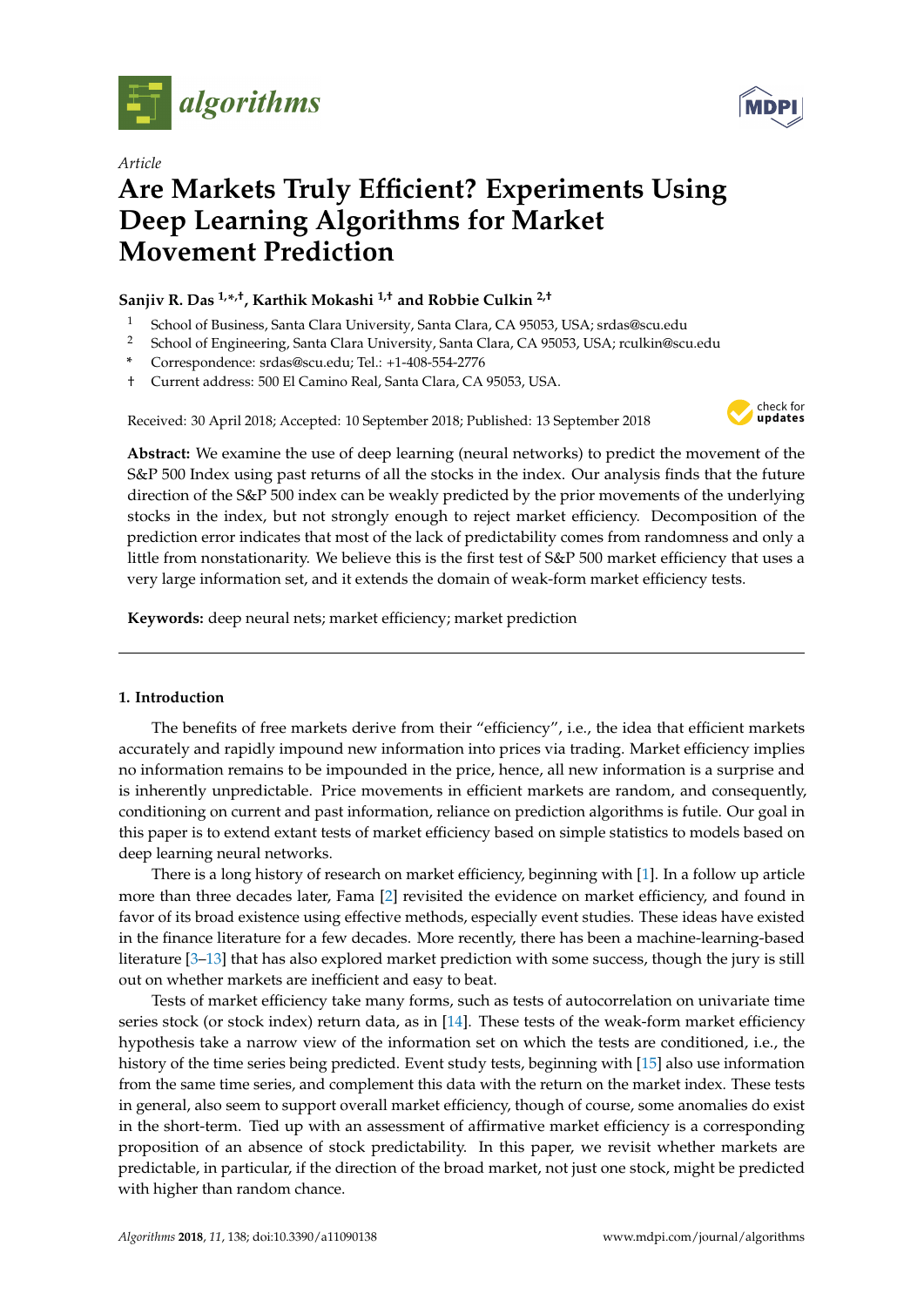



# *Article* **Are Markets Truly Efficient? Experiments Using Deep Learning Algorithms for Market Movement Prediction**

# **Sanjiv R. Das 1,\* ,†, Karthik Mokashi 1,† and Robbie Culkin 2,†**

- <sup>1</sup> School of Business, Santa Clara University, Santa Clara, CA 95053, USA; srdas@scu.edu
- <sup>2</sup> School of Engineering, Santa Clara University, Santa Clara, CA 95053, USA; rculkin@scu.edu
- **\*** Correspondence: srdas@scu.edu; Tel.: +1-408-554-2776
- † Current address: 500 El Camino Real, Santa Clara, CA 95053, USA.

Received: 30 April 2018; Accepted: 10 September 2018; Published: 13 September 2018



**Abstract:** We examine the use of deep learning (neural networks) to predict the movement of the S&P 500 Index using past returns of all the stocks in the index. Our analysis finds that the future direction of the S&P 500 index can be weakly predicted by the prior movements of the underlying stocks in the index, but not strongly enough to reject market efficiency. Decomposition of the prediction error indicates that most of the lack of predictability comes from randomness and only a little from nonstationarity. We believe this is the first test of S&P 500 market efficiency that uses a very large information set, and it extends the domain of weak-form market efficiency tests.

**Keywords:** deep neural nets; market efficiency; market prediction

# **1. Introduction**

The benefits of free markets derive from their "efficiency", i.e., the idea that efficient markets accurately and rapidly impound new information into prices via trading. Market efficiency implies no information remains to be impounded in the price, hence, all new information is a surprise and is inherently unpredictable. Price movements in efficient markets are random, and consequently, conditioning on current and past information, reliance on prediction algorithms is futile. Our goal in this paper is to extend extant tests of market efficiency based on simple statistics to models based on deep learning neural networks.

There is a long history of research on market efficiency, beginning with [\[1\]](#page-16-0). In a follow up article more than three decades later, Fama [\[2\]](#page-16-1) revisited the evidence on market efficiency, and found in favor of its broad existence using effective methods, especially event studies. These ideas have existed in the finance literature for a few decades. More recently, there has been a machine-learning-based literature [\[3–](#page-16-2)[13\]](#page-17-0) that has also explored market prediction with some success, though the jury is still out on whether markets are inefficient and easy to beat.

Tests of market efficiency take many forms, such as tests of autocorrelation on univariate time series stock (or stock index) return data, as in [\[14\]](#page-17-1). These tests of the weak-form market efficiency hypothesis take a narrow view of the information set on which the tests are conditioned, i.e., the history of the time series being predicted. Event study tests, beginning with [\[15\]](#page-17-2) also use information from the same time series, and complement this data with the return on the market index. These tests in general, also seem to support overall market efficiency, though of course, some anomalies do exist in the short-term. Tied up with an assessment of affirmative market efficiency is a corresponding proposition of an absence of stock predictability. In this paper, we revisit whether markets are predictable, in particular, if the direction of the broad market, not just one stock, might be predicted with higher than random chance.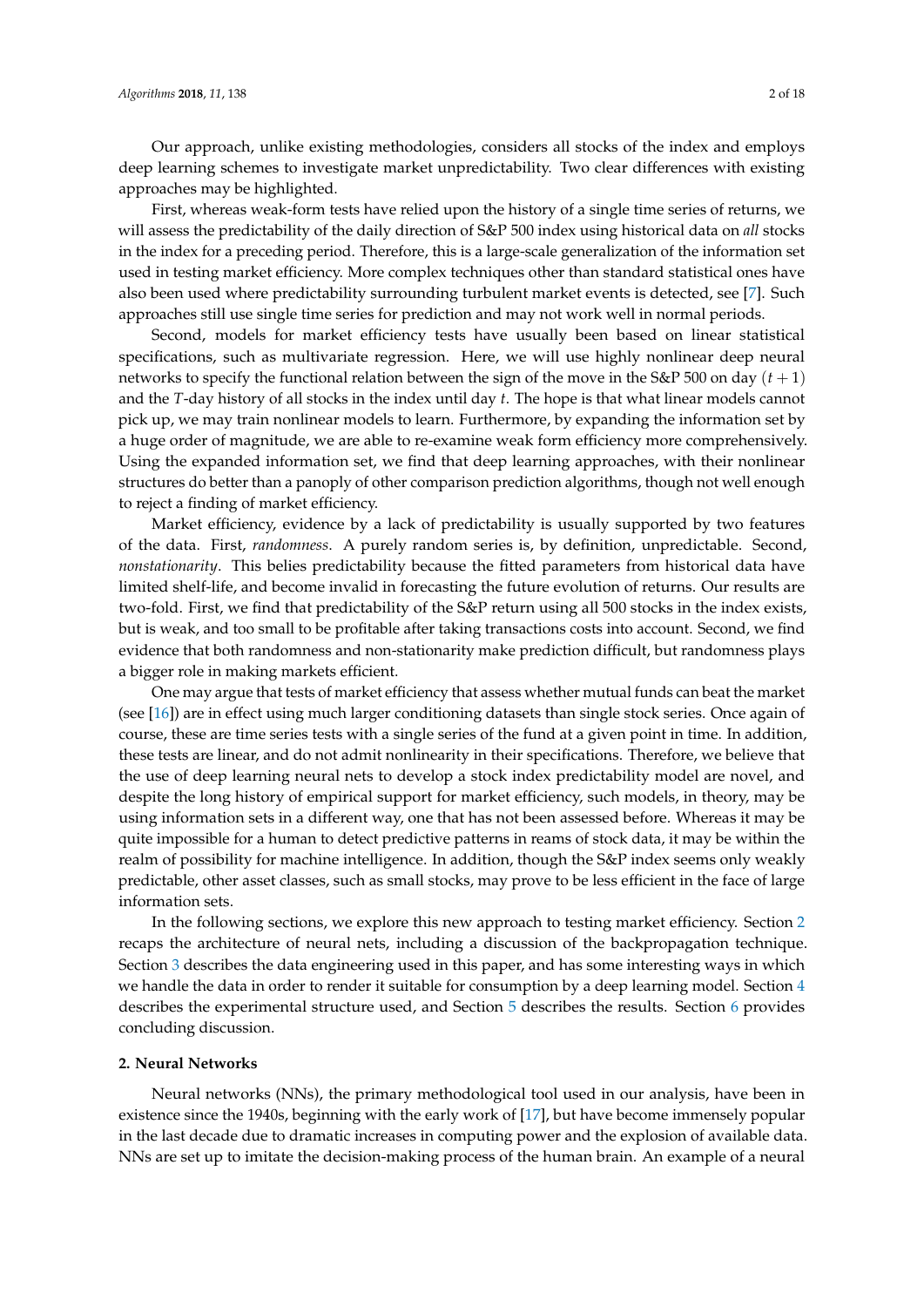Our approach, unlike existing methodologies, considers all stocks of the index and employs deep learning schemes to investigate market unpredictability. Two clear differences with existing approaches may be highlighted.

First, whereas weak-form tests have relied upon the history of a single time series of returns, we will assess the predictability of the daily direction of S&P 500 index using historical data on *all* stocks in the index for a preceding period. Therefore, this is a large-scale generalization of the information set used in testing market efficiency. More complex techniques other than standard statistical ones have also been used where predictability surrounding turbulent market events is detected, see [\[7\]](#page-16-3). Such approaches still use single time series for prediction and may not work well in normal periods.

Second, models for market efficiency tests have usually been based on linear statistical specifications, such as multivariate regression. Here, we will use highly nonlinear deep neural networks to specify the functional relation between the sign of the move in the S&P 500 on day  $(t + 1)$ and the *T*-day history of all stocks in the index until day *t*. The hope is that what linear models cannot pick up, we may train nonlinear models to learn. Furthermore, by expanding the information set by a huge order of magnitude, we are able to re-examine weak form efficiency more comprehensively. Using the expanded information set, we find that deep learning approaches, with their nonlinear structures do better than a panoply of other comparison prediction algorithms, though not well enough to reject a finding of market efficiency.

Market efficiency, evidence by a lack of predictability is usually supported by two features of the data. First, *randomness*. A purely random series is, by definition, unpredictable. Second, *nonstationarity*. This belies predictability because the fitted parameters from historical data have limited shelf-life, and become invalid in forecasting the future evolution of returns. Our results are two-fold. First, we find that predictability of the S&P return using all 500 stocks in the index exists, but is weak, and too small to be profitable after taking transactions costs into account. Second, we find evidence that both randomness and non-stationarity make prediction difficult, but randomness plays a bigger role in making markets efficient.

One may argue that tests of market efficiency that assess whether mutual funds can beat the market (see [\[16\]](#page-17-3)) are in effect using much larger conditioning datasets than single stock series. Once again of course, these are time series tests with a single series of the fund at a given point in time. In addition, these tests are linear, and do not admit nonlinearity in their specifications. Therefore, we believe that the use of deep learning neural nets to develop a stock index predictability model are novel, and despite the long history of empirical support for market efficiency, such models, in theory, may be using information sets in a different way, one that has not been assessed before. Whereas it may be quite impossible for a human to detect predictive patterns in reams of stock data, it may be within the realm of possibility for machine intelligence. In addition, though the S&P index seems only weakly predictable, other asset classes, such as small stocks, may prove to be less efficient in the face of large information sets.

In the following sections, we explore this new approach to testing market efficiency. Section [2](#page-1-0) recaps the architecture of neural nets, including a discussion of the backpropagation technique. Section [3](#page-4-0) describes the data engineering used in this paper, and has some interesting ways in which we handle the data in order to render it suitable for consumption by a deep learning model. Section [4](#page-7-0) describes the experimental structure used, and Section [5](#page-11-0) describes the results. Section [6](#page-16-4) provides concluding discussion.

# <span id="page-1-0"></span>**2. Neural Networks**

Neural networks (NNs), the primary methodological tool used in our analysis, have been in existence since the 1940s, beginning with the early work of [\[17\]](#page-17-4), but have become immensely popular in the last decade due to dramatic increases in computing power and the explosion of available data. NNs are set up to imitate the decision-making process of the human brain. An example of a neural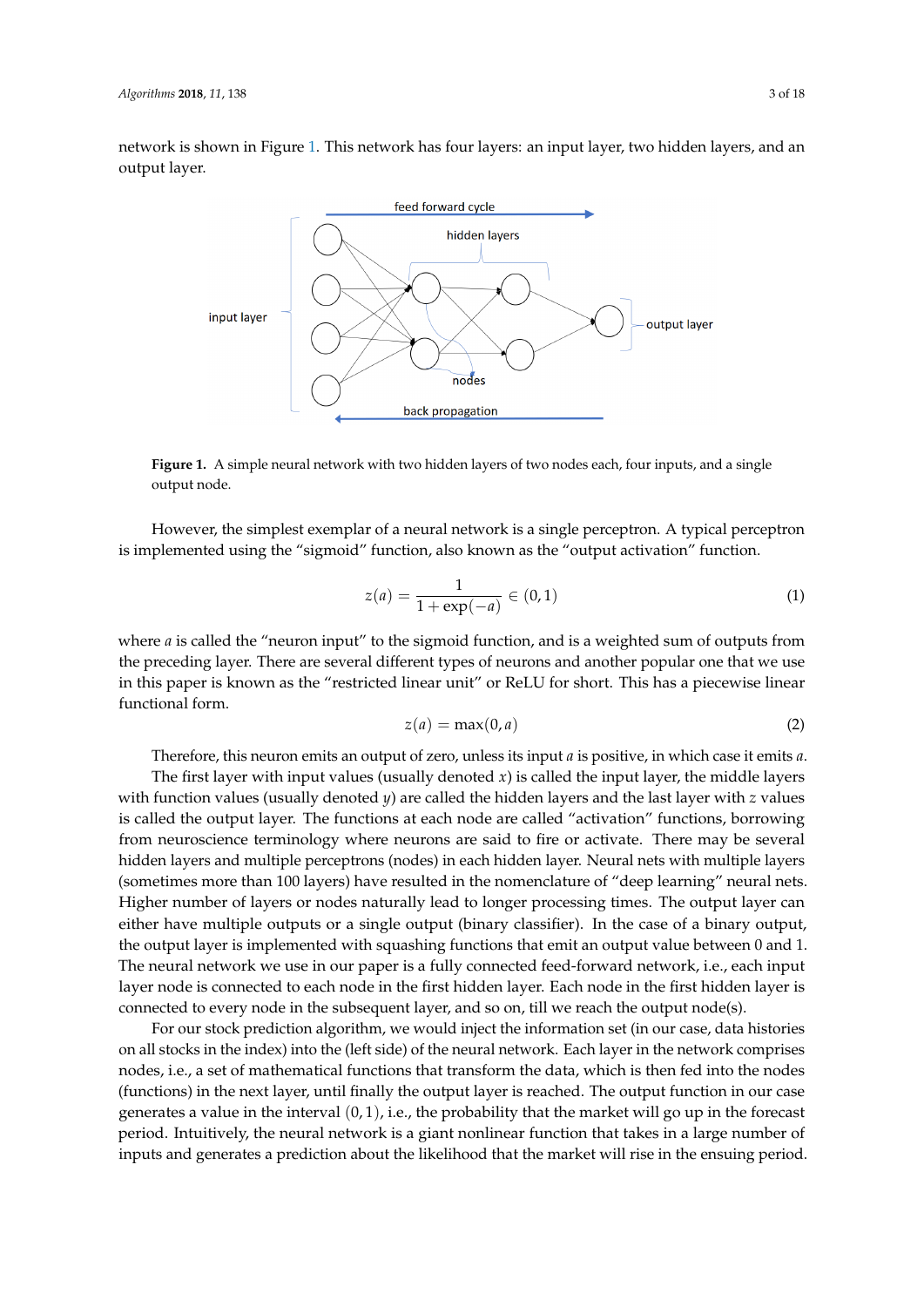<span id="page-2-0"></span>network is shown in Figure [1.](#page-2-0) This network has four layers: an input layer, two hidden layers, and an output layer.



**Figure 1.** A simple neural network with two hidden layers of two nodes each, four inputs, and a single output node.

However, the simplest exemplar of a neural network is a single perceptron. A typical perceptron is implemented using the "sigmoid" function, also known as the "output activation" function.

$$
z(a) = \frac{1}{1 + \exp(-a)} \in (0, 1)
$$
 (1)

where *a* is called the "neuron input" to the sigmoid function, and is a weighted sum of outputs from the preceding layer. There are several different types of neurons and another popular one that we use in this paper is known as the "restricted linear unit" or ReLU for short. This has a piecewise linear functional form.

$$
z(a) = \max(0, a) \tag{2}
$$

Therefore, this neuron emits an output of zero, unless its input *a* is positive, in which case it emits *a*.

The first layer with input values (usually denoted  $x$ ) is called the input layer, the middle layers with function values (usually denoted *y*) are called the hidden layers and the last layer with *z* values is called the output layer. The functions at each node are called "activation" functions, borrowing from neuroscience terminology where neurons are said to fire or activate. There may be several hidden layers and multiple perceptrons (nodes) in each hidden layer. Neural nets with multiple layers (sometimes more than 100 layers) have resulted in the nomenclature of "deep learning" neural nets. Higher number of layers or nodes naturally lead to longer processing times. The output layer can either have multiple outputs or a single output (binary classifier). In the case of a binary output, the output layer is implemented with squashing functions that emit an output value between 0 and 1. The neural network we use in our paper is a fully connected feed-forward network, i.e., each input layer node is connected to each node in the first hidden layer. Each node in the first hidden layer is connected to every node in the subsequent layer, and so on, till we reach the output node(s).

For our stock prediction algorithm, we would inject the information set (in our case, data histories on all stocks in the index) into the (left side) of the neural network. Each layer in the network comprises nodes, i.e., a set of mathematical functions that transform the data, which is then fed into the nodes (functions) in the next layer, until finally the output layer is reached. The output function in our case generates a value in the interval  $(0, 1)$ , i.e., the probability that the market will go up in the forecast period. Intuitively, the neural network is a giant nonlinear function that takes in a large number of inputs and generates a prediction about the likelihood that the market will rise in the ensuing period.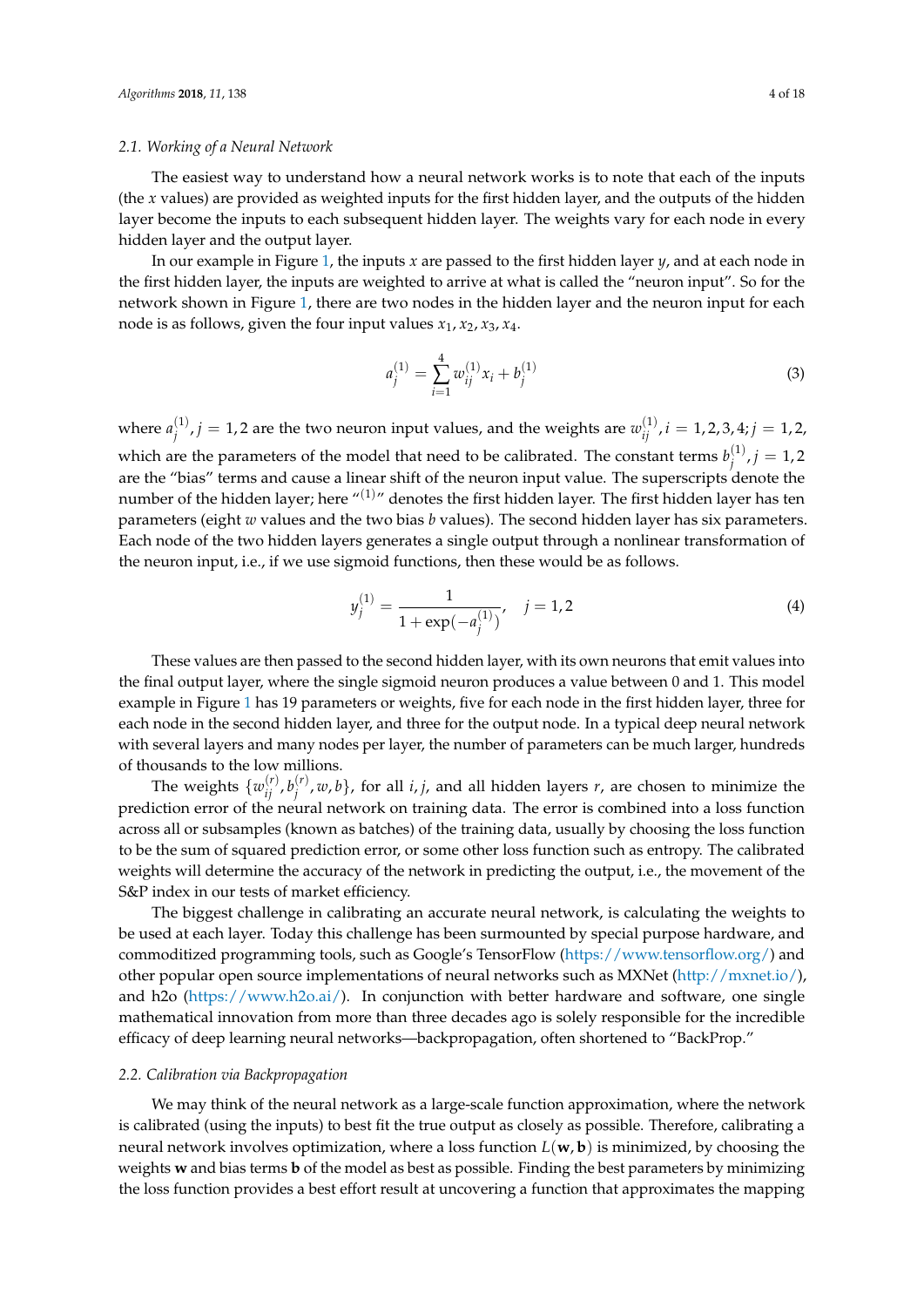#### *2.1. Working of a Neural Network*

The easiest way to understand how a neural network works is to note that each of the inputs (the *x* values) are provided as weighted inputs for the first hidden layer, and the outputs of the hidden layer become the inputs to each subsequent hidden layer. The weights vary for each node in every hidden layer and the output layer.

In our example in Figure [1,](#page-2-0) the inputs *x* are passed to the first hidden layer *y*, and at each node in the first hidden layer, the inputs are weighted to arrive at what is called the "neuron input". So for the network shown in Figure [1,](#page-2-0) there are two nodes in the hidden layer and the neuron input for each node is as follows, given the four input values *x*1, *x*2, *x*3, *x*4.

$$
a_j^{(1)} = \sum_{i=1}^4 w_{ij}^{(1)} x_i + b_j^{(1)}
$$
 (3)

where  $a_i^{(1)}$  $y_j^{(1)}$ ,  $j = 1, 2$  are the two neuron input values, and the weights are  $w_{ij}^{(1)}$ ,  $i = 1, 2, 3, 4; j = 1, 2,$ which are the parameters of the model that need to be calibrated. The constant terms  $b_i^{(1)}$  $j^{(1)}$ ,  $j = 1, 2$ are the "bias" terms and cause a linear shift of the neuron input value. The superscripts denote the number of the hidden layer; here  $\frac{u(1)}{l}$  denotes the first hidden layer. The first hidden layer has ten parameters (eight *w* values and the two bias *b* values). The second hidden layer has six parameters. Each node of the two hidden layers generates a single output through a nonlinear transformation of the neuron input, i.e., if we use sigmoid functions, then these would be as follows.

$$
y_j^{(1)} = \frac{1}{1 + \exp(-a_j^{(1)})}, \quad j = 1, 2
$$
 (4)

These values are then passed to the second hidden layer, with its own neurons that emit values into the final output layer, where the single sigmoid neuron produces a value between 0 and 1. This model example in Figure [1](#page-2-0) has 19 parameters or weights, five for each node in the first hidden layer, three for each node in the second hidden layer, and three for the output node. In a typical deep neural network with several layers and many nodes per layer, the number of parameters can be much larger, hundreds of thousands to the low millions.

The weights  $\{w_{ij}^{(r)}, b_{j}^{(r)}\}$  $\{f^{(r)}_j, w, b\}$ , for all *i*, *j*, and all hidden layers *r*, are chosen to minimize the prediction error of the neural network on training data. The error is combined into a loss function across all or subsamples (known as batches) of the training data, usually by choosing the loss function to be the sum of squared prediction error, or some other loss function such as entropy. The calibrated weights will determine the accuracy of the network in predicting the output, i.e., the movement of the S&P index in our tests of market efficiency.

The biggest challenge in calibrating an accurate neural network, is calculating the weights to be used at each layer. Today this challenge has been surmounted by special purpose hardware, and commoditized programming tools, such as Google's TensorFlow [\(https://www.tensorflow.org/\)](https://www.tensorflow.org/) and other popular open source implementations of neural networks such as MXNet [\(http://mxnet.io/\)](http://mxnet.io/), and h2o [\(https://www.h2o.ai/\)](https://www.h2o.ai/). In conjunction with better hardware and software, one single mathematical innovation from more than three decades ago is solely responsible for the incredible efficacy of deep learning neural networks—backpropagation, often shortened to "BackProp."

#### *2.2. Calibration via Backpropagation*

We may think of the neural network as a large-scale function approximation, where the network is calibrated (using the inputs) to best fit the true output as closely as possible. Therefore, calibrating a neural network involves optimization, where a loss function *L*(**w**, **b**) is minimized, by choosing the weights **w** and bias terms **b** of the model as best as possible. Finding the best parameters by minimizing the loss function provides a best effort result at uncovering a function that approximates the mapping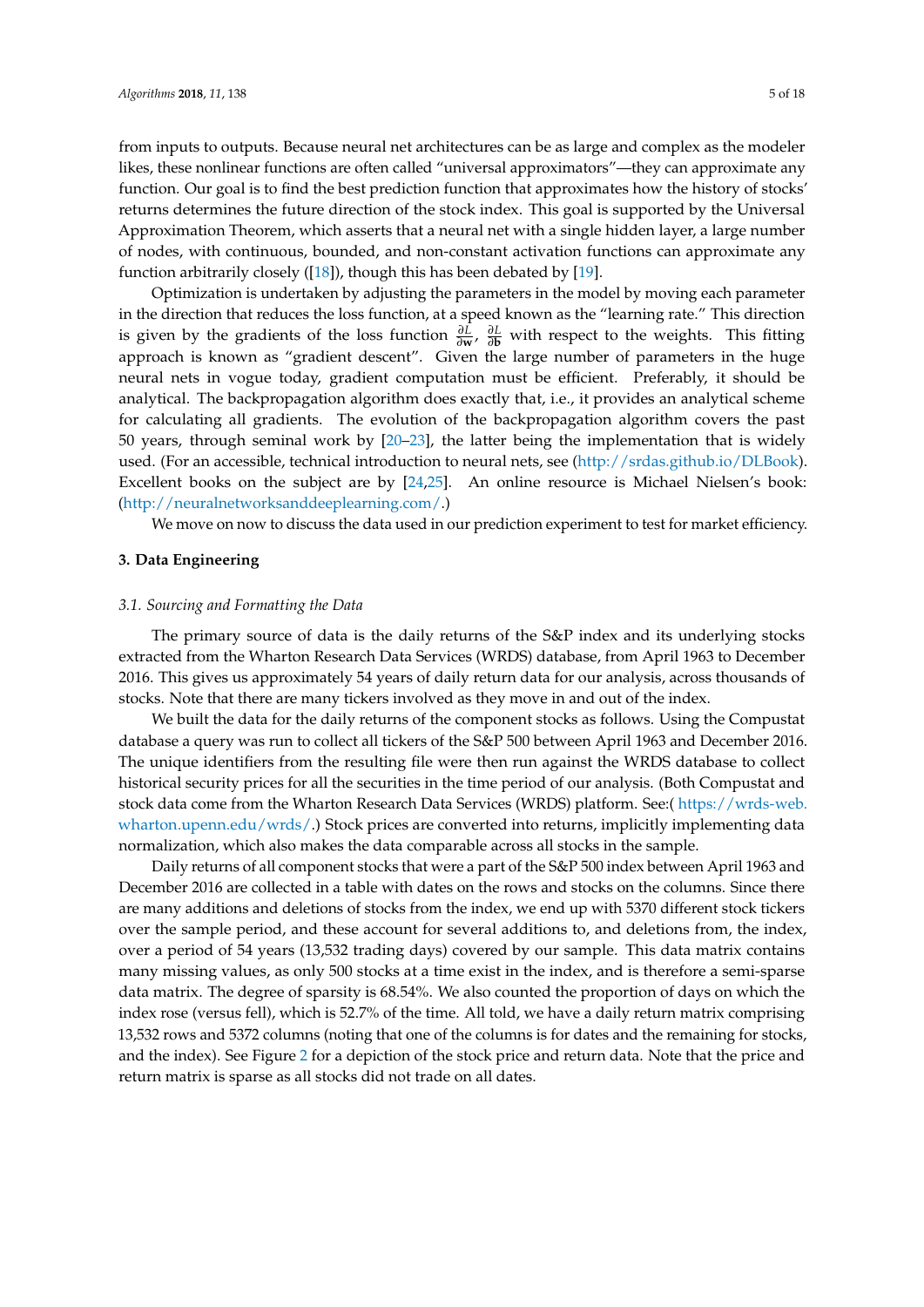from inputs to outputs. Because neural net architectures can be as large and complex as the modeler likes, these nonlinear functions are often called "universal approximators"—they can approximate any function. Our goal is to find the best prediction function that approximates how the history of stocks' returns determines the future direction of the stock index. This goal is supported by the Universal Approximation Theorem, which asserts that a neural net with a single hidden layer, a large number of nodes, with continuous, bounded, and non-constant activation functions can approximate any function arbitrarily closely ([\[18\]](#page-17-5)), though this has been debated by [\[19\]](#page-17-6).

Optimization is undertaken by adjusting the parameters in the model by moving each parameter in the direction that reduces the loss function, at a speed known as the "learning rate." This direction is given by the gradients of the loss function *<sup>∂</sup><sup>L</sup> ∂***w** , *∂L <sup>∂</sup>***<sup>b</sup>** with respect to the weights. This fitting approach is known as "gradient descent". Given the large number of parameters in the huge neural nets in vogue today, gradient computation must be efficient. Preferably, it should be analytical. The backpropagation algorithm does exactly that, i.e., it provides an analytical scheme for calculating all gradients. The evolution of the backpropagation algorithm covers the past 50 years, through seminal work by [\[20](#page-17-7)[–23\]](#page-17-8), the latter being the implementation that is widely used. (For an accessible, technical introduction to neural nets, see [\(http://srdas.github.io/DLBook\)](http://srdas.github.io/DLBook). Excellent books on the subject are by [\[24,](#page-17-9)[25\]](#page-17-10). An online resource is Michael Nielsen's book: [\(http://neuralnetworksanddeeplearning.com/.](http://neuralnetworksanddeeplearning.com/))

We move on now to discuss the data used in our prediction experiment to test for market efficiency.

#### <span id="page-4-0"></span>**3. Data Engineering**

# *3.1. Sourcing and Formatting the Data*

The primary source of data is the daily returns of the S&P index and its underlying stocks extracted from the Wharton Research Data Services (WRDS) database, from April 1963 to December 2016. This gives us approximately 54 years of daily return data for our analysis, across thousands of stocks. Note that there are many tickers involved as they move in and out of the index.

We built the data for the daily returns of the component stocks as follows. Using the Compustat database a query was run to collect all tickers of the S&P 500 between April 1963 and December 2016. The unique identifiers from the resulting file were then run against the WRDS database to collect historical security prices for all the securities in the time period of our analysis. (Both Compustat and stock data come from the Wharton Research Data Services (WRDS) platform. See:( [https://wrds-web.](https://wrds-web.wharton.upenn.edu/wrds/) [wharton.upenn.edu/wrds/.](https://wrds-web.wharton.upenn.edu/wrds/)) Stock prices are converted into returns, implicitly implementing data normalization, which also makes the data comparable across all stocks in the sample.

Daily returns of all component stocks that were a part of the S&P 500 index between April 1963 and December 2016 are collected in a table with dates on the rows and stocks on the columns. Since there are many additions and deletions of stocks from the index, we end up with 5370 different stock tickers over the sample period, and these account for several additions to, and deletions from, the index, over a period of 54 years (13,532 trading days) covered by our sample. This data matrix contains many missing values, as only 500 stocks at a time exist in the index, and is therefore a semi-sparse data matrix. The degree of sparsity is 68.54%. We also counted the proportion of days on which the index rose (versus fell), which is 52.7% of the time. All told, we have a daily return matrix comprising 13,532 rows and 5372 columns (noting that one of the columns is for dates and the remaining for stocks, and the index). See Figure [2](#page-5-0) for a depiction of the stock price and return data. Note that the price and return matrix is sparse as all stocks did not trade on all dates.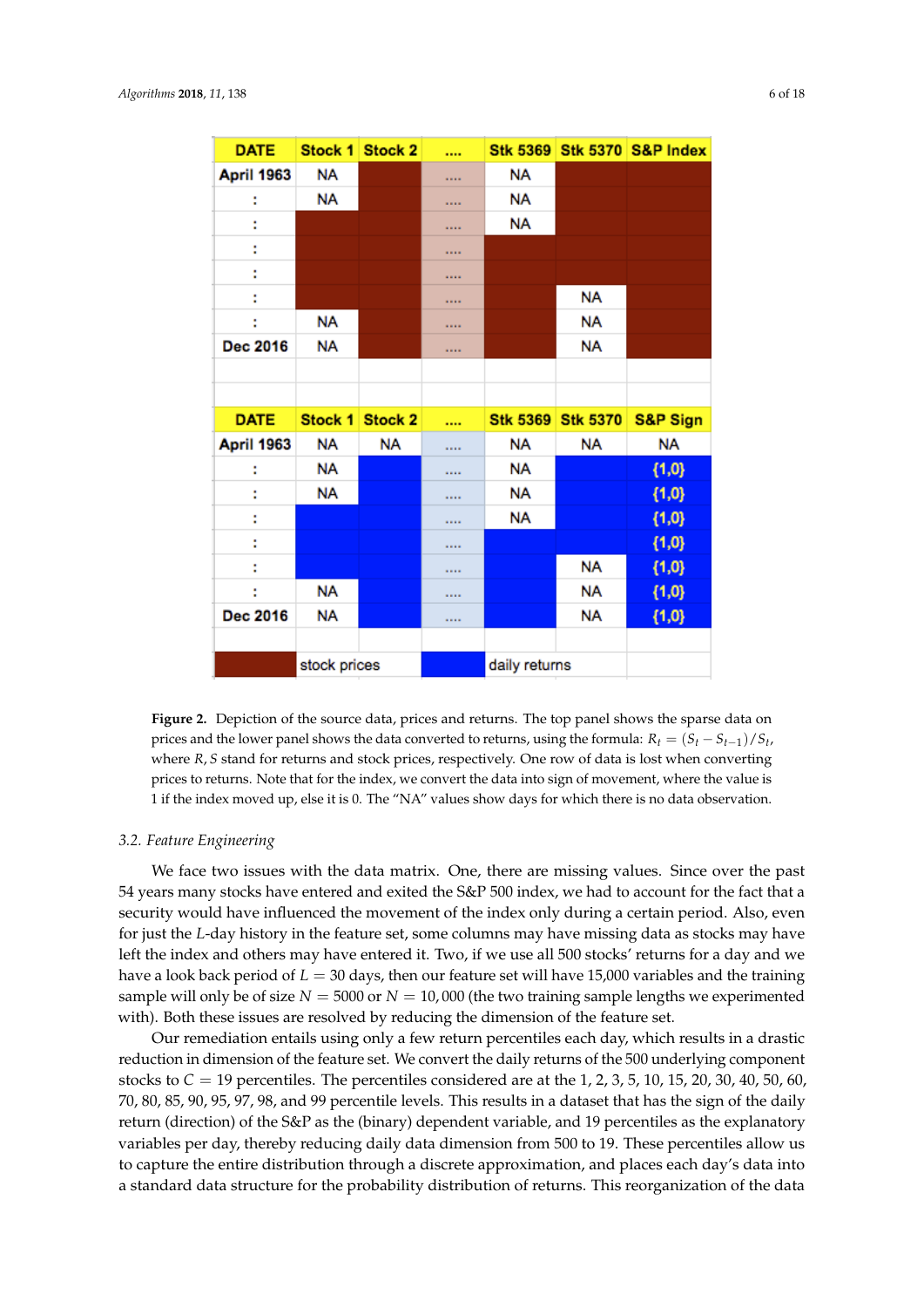<span id="page-5-0"></span>

| <b>DATE</b> |           | Stock 1 Stock 2    |                     |                 | Stk 5369 Stk 5370 S&P Index |
|-------------|-----------|--------------------|---------------------|-----------------|-----------------------------|
| April 1963  | NΑ        |                    | <br>NA              |                 |                             |
| t           | <b>NA</b> |                    | <br><b>NA</b>       |                 |                             |
| t           |           |                    | <br><b>NA</b>       |                 |                             |
| t           |           |                    |                     |                 |                             |
| t           |           |                    |                     |                 |                             |
| ÷           |           |                    |                     | <b>NA</b>       |                             |
| t           | NΑ        |                    |                     | NA              |                             |
| Dec 2016    | NA        |                    |                     | <b>NA</b>       |                             |
|             |           |                    |                     |                 |                             |
|             |           |                    |                     |                 |                             |
|             |           |                    |                     |                 |                             |
| <b>DATE</b> | Stock 1   | Stock <sub>2</sub> | <br><b>Stk 5369</b> | <b>Stk 5370</b> | <b>S&amp;P Sign</b>         |
| April 1963  | NA        | NΑ                 | <br><b>NA</b>       | NΑ              | <b>NA</b>                   |
| t           | NA        |                    | <br><b>NA</b>       |                 | ${1,0}$                     |
| t           | NA        |                    | <br><b>NA</b>       |                 | ${1,0}$                     |
| ÷           |           |                    | <br><b>NA</b>       |                 | ${1,0}$                     |
| t           |           |                    |                     |                 | ${1,0}$                     |
| t           |           |                    |                     | <b>NA</b>       | ${1,0}$                     |
| ÷           | <b>NA</b> |                    |                     | <b>NA</b>       | ${1,0}$                     |
| Dec 2016    | NA        |                    |                     | NA              | ${1,0}$                     |
|             |           |                    |                     |                 |                             |

Figure 2. Depiction of the source data, prices and returns. The top panel shows the sparse data on prices and the lower panel shows the data converted to returns, using the formula:  $R_t = (S_t - S_{t-1})/S_t$ where *R*, *S* stand for returns and stock prices, respectively. One row of data is lost when converting prices to returns. Note that for the index, we convert the data into sign of movement, where the value is 1 if the index moved up, else it is 0. The "NA" values show days for which there is no data observation.

# *3.2. Feature Engineering*

We face two issues with the data matrix. One, there are missing values. Since over the past 54 years many stocks have entered and exited the S&P 500 index, we had to account for the fact that a security would have influenced the movement of the index only during a certain period. Also, even for just the *L*-day history in the feature set, some columns may have missing data as stocks may have left the index and others may have entered it. Two, if we use all 500 stocks' returns for a day and we have a look back period of *L* = 30 days, then our feature set will have 15,000 variables and the training sample will only be of size  $N = 5000$  or  $N = 10,000$  (the two training sample lengths we experimented with). Both these issues are resolved by reducing the dimension of the feature set.

Our remediation entails using only a few return percentiles each day, which results in a drastic reduction in dimension of the feature set. We convert the daily returns of the 500 underlying component stocks to  $C = 19$  percentiles. The percentiles considered are at the 1, 2, 3, 5, 10, 15, 20, 30, 40, 50, 60, 70, 80, 85, 90, 95, 97, 98, and 99 percentile levels. This results in a dataset that has the sign of the daily return (direction) of the S&P as the (binary) dependent variable, and 19 percentiles as the explanatory variables per day, thereby reducing daily data dimension from 500 to 19. These percentiles allow us to capture the entire distribution through a discrete approximation, and places each day's data into a standard data structure for the probability distribution of returns. This reorganization of the data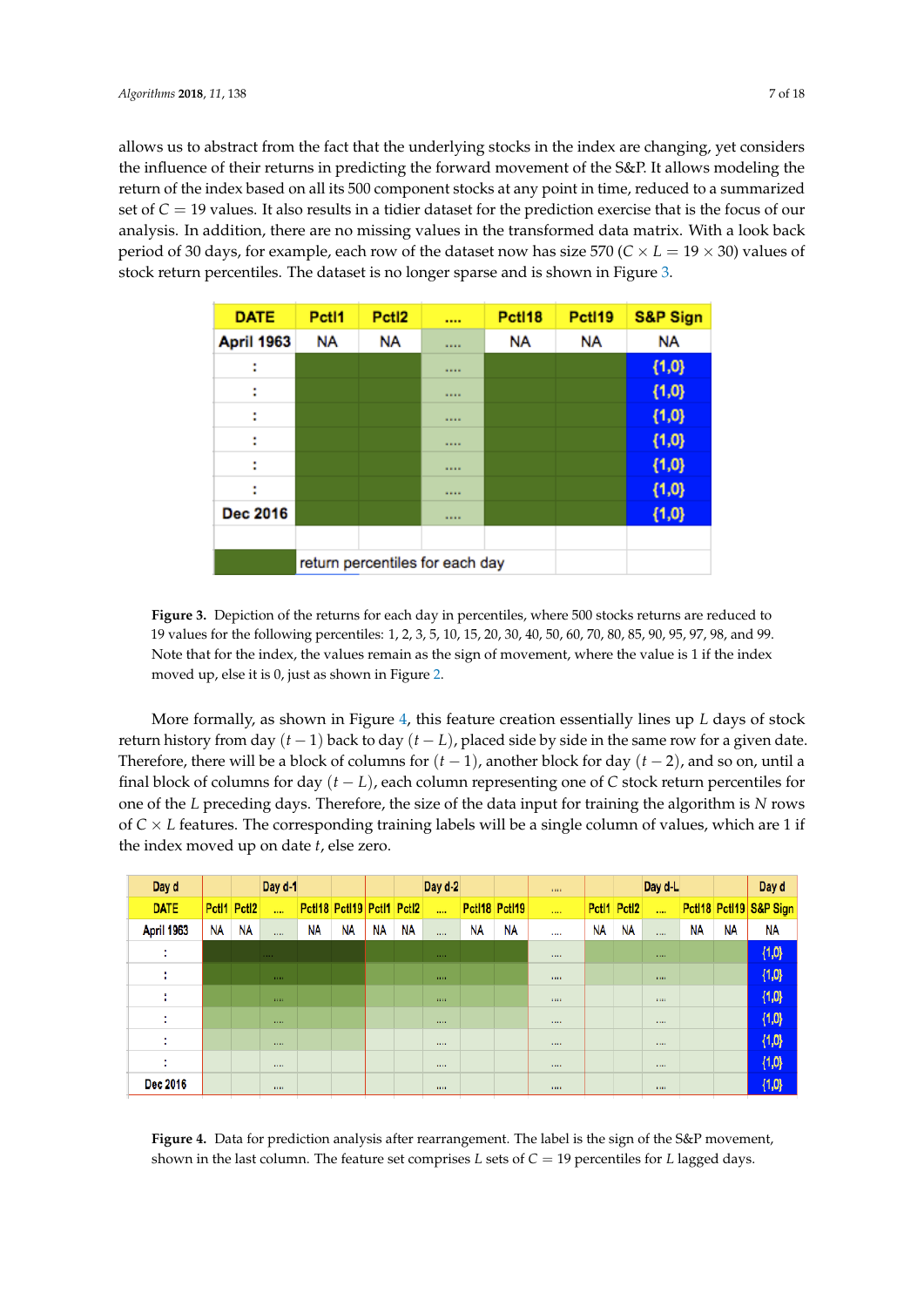allows us to abstract from the fact that the underlying stocks in the index are changing, yet considers the influence of their returns in predicting the forward movement of the S&P. It allows modeling the return of the index based on all its 500 component stocks at any point in time, reduced to a summarized set of  $C = 19$  values. It also results in a tidier dataset for the prediction exercise that is the focus of our analysis. In addition, there are no missing values in the transformed data matrix. With a look back period of 30 days, for example, each row of the dataset now has size 570 (*C* × *L* = 19 × 30) values of stock return percentiles. The dataset is no longer sparse and is shown in Figure [3.](#page-6-0)

<span id="page-6-0"></span>

| <b>DATE</b> | Pctl1 | Pctl <sub>2</sub>               | <br>Pct <sub>18</sub> | Pct <sub>19</sub> | <b>S&amp;P Sign</b> |
|-------------|-------|---------------------------------|-----------------------|-------------------|---------------------|
| April 1963  | NA    | NA                              | <br><b>NA</b>         | <b>NA</b>         | <b>NA</b>           |
| ÷           |       |                                 |                       |                   | ${1,0}$             |
| ÷           |       |                                 |                       |                   | ${1,0}$             |
| ÷           |       |                                 |                       |                   | ${1,0}$             |
| ÷           |       |                                 |                       |                   | ${1,0}$             |
| ÷           |       |                                 |                       |                   | ${1,0}$             |
| ÷           |       |                                 |                       |                   | ${1,0}$             |
| Dec 2016    |       |                                 |                       |                   | ${1,0}$             |
|             |       |                                 |                       |                   |                     |
|             |       | return percentiles for each day |                       |                   |                     |

**Figure 3.** Depiction of the returns for each day in percentiles, where 500 stocks returns are reduced to 19 values for the following percentiles: 1, 2, 3, 5, 10, 15, 20, 30, 40, 50, 60, 70, 80, 85, 90, 95, 97, 98, and 99. Note that for the index, the values remain as the sign of movement, where the value is 1 if the index moved up, else it is 0, just as shown in Figure [2.](#page-5-0)

More formally, as shown in Figure [4,](#page-6-1) this feature creation essentially lines up *L* days of stock return history from day (*t* − 1) back to day (*t* − *L*), placed side by side in the same row for a given date. Therefore, there will be a block of columns for (*t* − 1), another block for day (*t* − 2), and so on, until a final block of columns for day (*t* − *L*), each column representing one of *C* stock return percentiles for one of the *L* preceding days. Therefore, the size of the data input for training the algorithm is *N* rows of *C* × *L* features. The corresponding training labels will be a single column of values, which are 1 if the index moved up on date *t*, else zero.

<span id="page-6-1"></span>

| Day d          |           |             | Day d-1  |           |                           |    |    | Day d-2 |           |               | 1111  |             |    | Day d-L |           |           | Day d                  |
|----------------|-----------|-------------|----------|-----------|---------------------------|----|----|---------|-----------|---------------|-------|-------------|----|---------|-----------|-----------|------------------------|
| <b>DATE</b>    |           | Pctl1 Pctl2 | $\cdots$ |           | Pctl18 Pctl19 Pctl1 Pctl2 |    |    |         |           | Pctl18 Pctl19 | 3333  | Pctl1 Pctl2 |    | m       |           |           | Pctl18 Pctl19 S&P Sign |
| April 1963     | <b>NA</b> | <b>NA</b>   | 1111     | <b>NA</b> | <b>NA</b>                 | NA | NA | 1111    | <b>NA</b> | <b>NA</b>     |       | <b>NA</b>   | NA | 1111    | <b>NA</b> | <b>NA</b> | <b>NA</b>              |
| ÷              |           |             | 100000   |           |                           |    |    | 1111    |           |               |       |             |    | 1111    |           |           | ${1,0}$                |
| ٠<br>$\bullet$ |           |             | 1.1111   |           |                           |    |    | 1111    |           |               | 1999. |             |    | 1111    |           |           | ${1,0}$                |
| ÷              |           |             | 1999.    |           |                           |    |    | 1111    |           |               | 1111  |             |    | 1111    |           |           | ${1,0}$                |
| ٠<br>$\bullet$ |           |             | 1111     |           |                           |    |    | 1111    |           |               |       |             |    | 1111    |           |           | ${1,0}$                |
| ÷              |           |             | 1111     |           |                           |    |    | 1111    |           |               |       |             |    | 1111    |           |           | ${1,0}$                |
| ÷              |           |             | 1999     |           |                           |    |    | 1111    |           |               | 1111  |             |    | 1111    |           |           | ${1,0}$                |
| Dec 2016       |           |             | 1111     |           |                           |    |    | 1111    |           |               | 1999. |             |    | 1111    |           |           | ${1,0}$                |

**Figure 4.** Data for prediction analysis after rearrangement. The label is the sign of the S&P movement, shown in the last column. The feature set comprises *L* sets of *C* = 19 percentiles for *L* lagged days.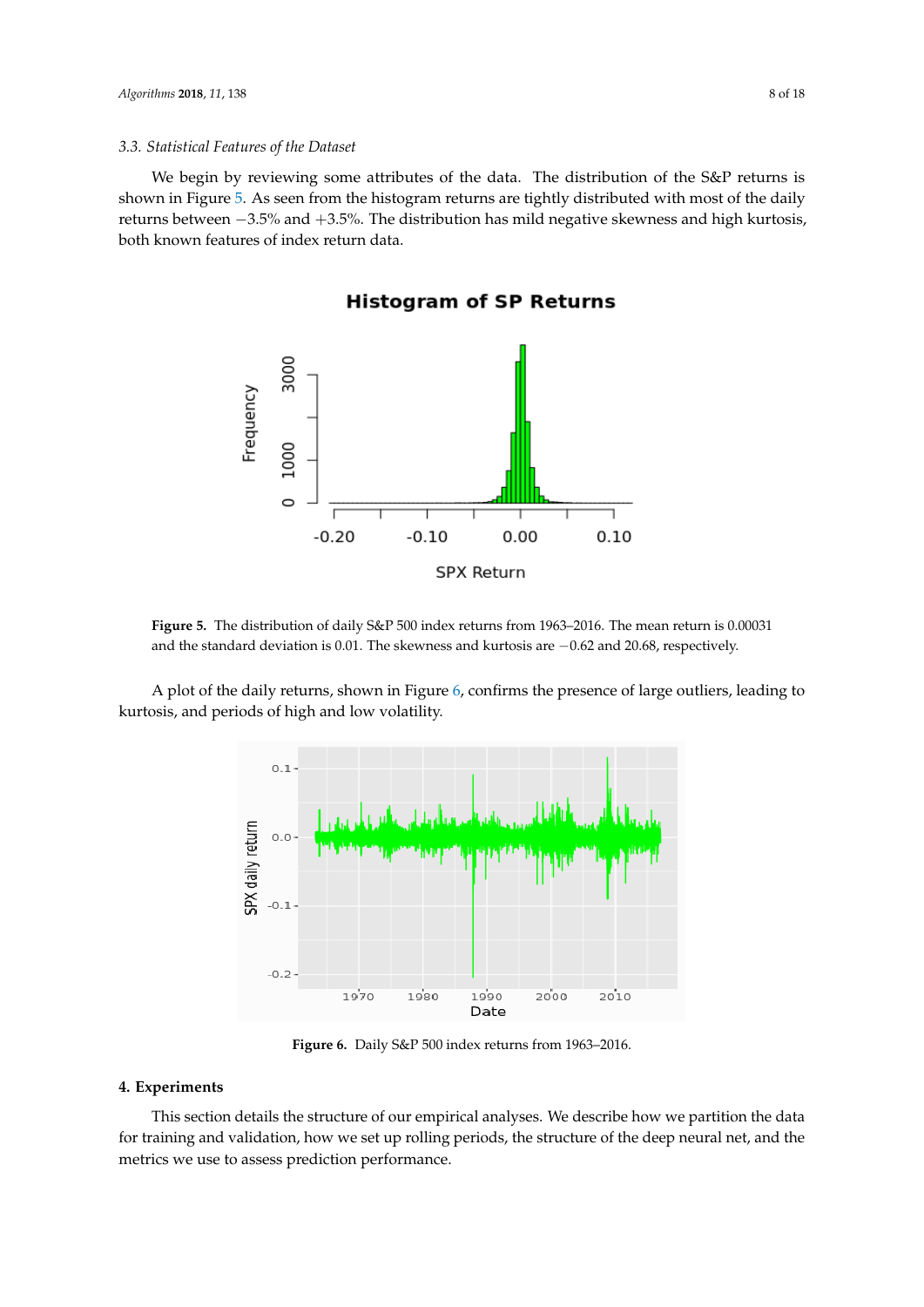#### *3.3. Statistical Features of the Dataset*

<span id="page-7-1"></span>We begin by reviewing some attributes of the data. The distribution of the S&P returns is shown in Figure [5.](#page-7-1) As seen from the histogram returns are tightly distributed with most of the daily returns between −3.5% and +3.5%. The distribution has mild negative skewness and high kurtosis, both known features of index return data.

**Histogram of SP Returns** 



**Figure 5.** The distribution of daily S&P 500 index returns from 1963–2016. The mean return is 0.00031 and the standard deviation is 0.01. The skewness and kurtosis are −0.62 and 20.68, respectively.

<span id="page-7-2"></span>A plot of the daily returns, shown in Figure [6,](#page-7-2) confirms the presence of large outliers, leading to kurtosis, and periods of high and low volatility.



**Figure 6.** Daily S&P 500 index returns from 1963–2016.

# <span id="page-7-0"></span>**4. Experiments**

This section details the structure of our empirical analyses. We describe how we partition the data for training and validation, how we set up rolling periods, the structure of the deep neural net, and the metrics we use to assess prediction performance.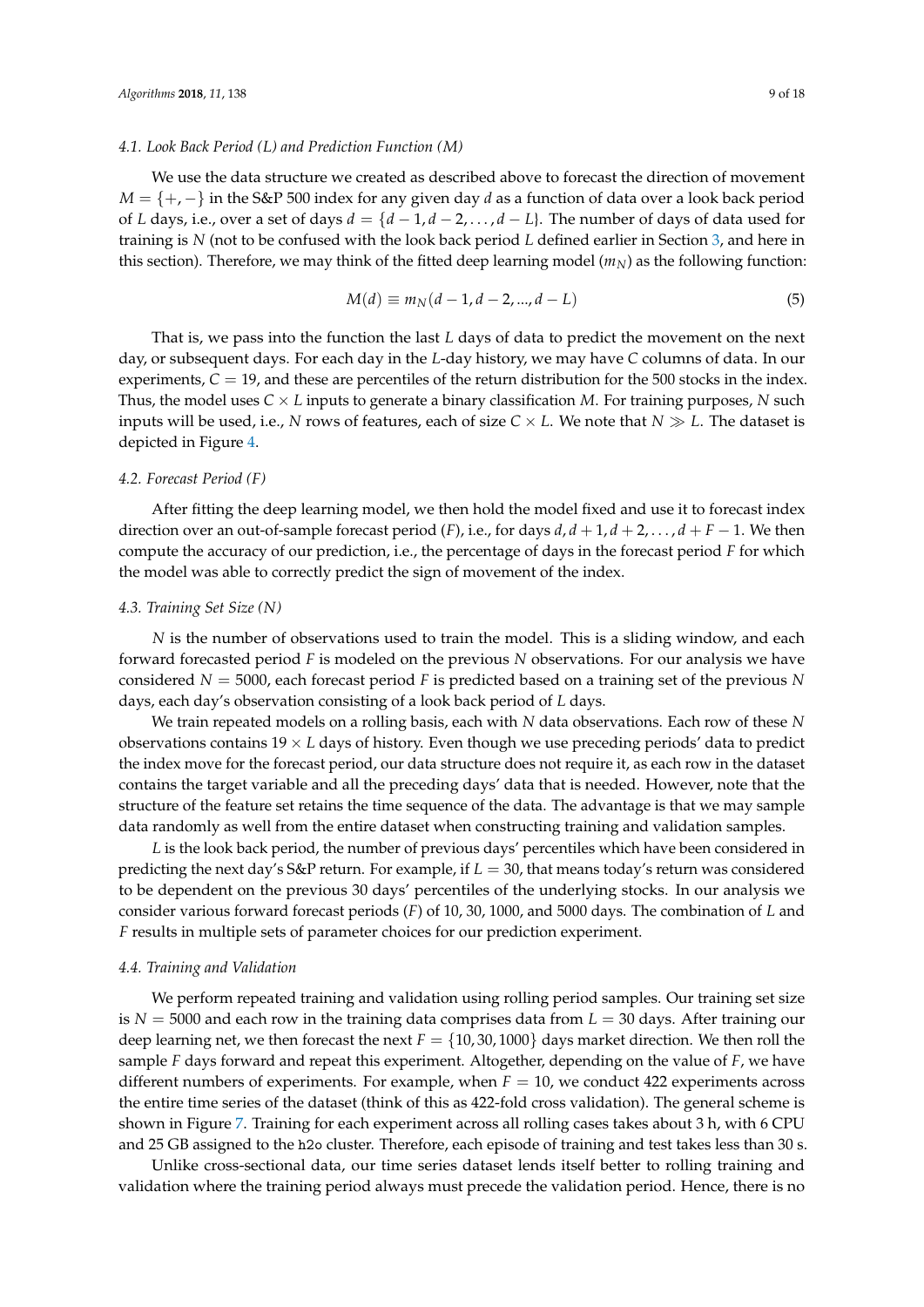#### *4.1. Look Back Period (L) and Prediction Function (M)*

We use the data structure we created as described above to forecast the direction of movement *M* = {+, −} in the S&P 500 index for any given day *d* as a function of data over a look back period of *L* days, i.e., over a set of days  $d = \{d-1, d-2, \ldots, d-L\}$ . The number of days of data used for training is *N* (not to be confused with the look back period *L* defined earlier in Section [3,](#page-4-0) and here in this section). Therefore, we may think of the fitted deep learning model (*mN*) as the following function:

$$
M(d) \equiv m_N(d-1, d-2, ..., d-L)
$$
 (5)

That is, we pass into the function the last *L* days of data to predict the movement on the next day, or subsequent days. For each day in the *L*-day history, we may have *C* columns of data. In our experiments,  $C = 19$ , and these are percentiles of the return distribution for the 500 stocks in the index. Thus, the model uses *C* × *L* inputs to generate a binary classification *M*. For training purposes, *N* such inputs will be used, i.e., *N* rows of features, each of size  $C \times L$ . We note that  $N \gg L$ . The dataset is depicted in Figure [4.](#page-6-1)

#### *4.2. Forecast Period (F)*

After fitting the deep learning model, we then hold the model fixed and use it to forecast index direction over an out-of-sample forecast period  $(F)$ , i.e., for days  $d, d + 1, d + 2, \ldots, d + F - 1$ . We then compute the accuracy of our prediction, i.e., the percentage of days in the forecast period *F* for which the model was able to correctly predict the sign of movement of the index.

#### *4.3. Training Set Size (N)*

*N* is the number of observations used to train the model. This is a sliding window, and each forward forecasted period *F* is modeled on the previous *N* observations. For our analysis we have considered *N* = 5000, each forecast period *F* is predicted based on a training set of the previous *N* days, each day's observation consisting of a look back period of *L* days.

We train repeated models on a rolling basis, each with *N* data observations. Each row of these *N* observations contains 19 × *L* days of history. Even though we use preceding periods' data to predict the index move for the forecast period, our data structure does not require it, as each row in the dataset contains the target variable and all the preceding days' data that is needed. However, note that the structure of the feature set retains the time sequence of the data. The advantage is that we may sample data randomly as well from the entire dataset when constructing training and validation samples.

*L* is the look back period, the number of previous days' percentiles which have been considered in predicting the next day's S&P return. For example, if *L* = 30, that means today's return was considered to be dependent on the previous 30 days' percentiles of the underlying stocks. In our analysis we consider various forward forecast periods (*F*) of 10, 30, 1000, and 5000 days. The combination of *L* and *F* results in multiple sets of parameter choices for our prediction experiment.

#### *4.4. Training and Validation*

We perform repeated training and validation using rolling period samples. Our training set size is *N* = 5000 and each row in the training data comprises data from *L* = 30 days. After training our deep learning net, we then forecast the next  $F = \{10, 30, 1000\}$  days market direction. We then roll the sample *F* days forward and repeat this experiment. Altogether, depending on the value of *F*, we have different numbers of experiments. For example, when  $F = 10$ , we conduct 422 experiments across the entire time series of the dataset (think of this as 422-fold cross validation). The general scheme is shown in Figure [7.](#page-9-0) Training for each experiment across all rolling cases takes about 3 h, with 6 CPU and 25 GB assigned to the h2o cluster. Therefore, each episode of training and test takes less than 30 s.

Unlike cross-sectional data, our time series dataset lends itself better to rolling training and validation where the training period always must precede the validation period. Hence, there is no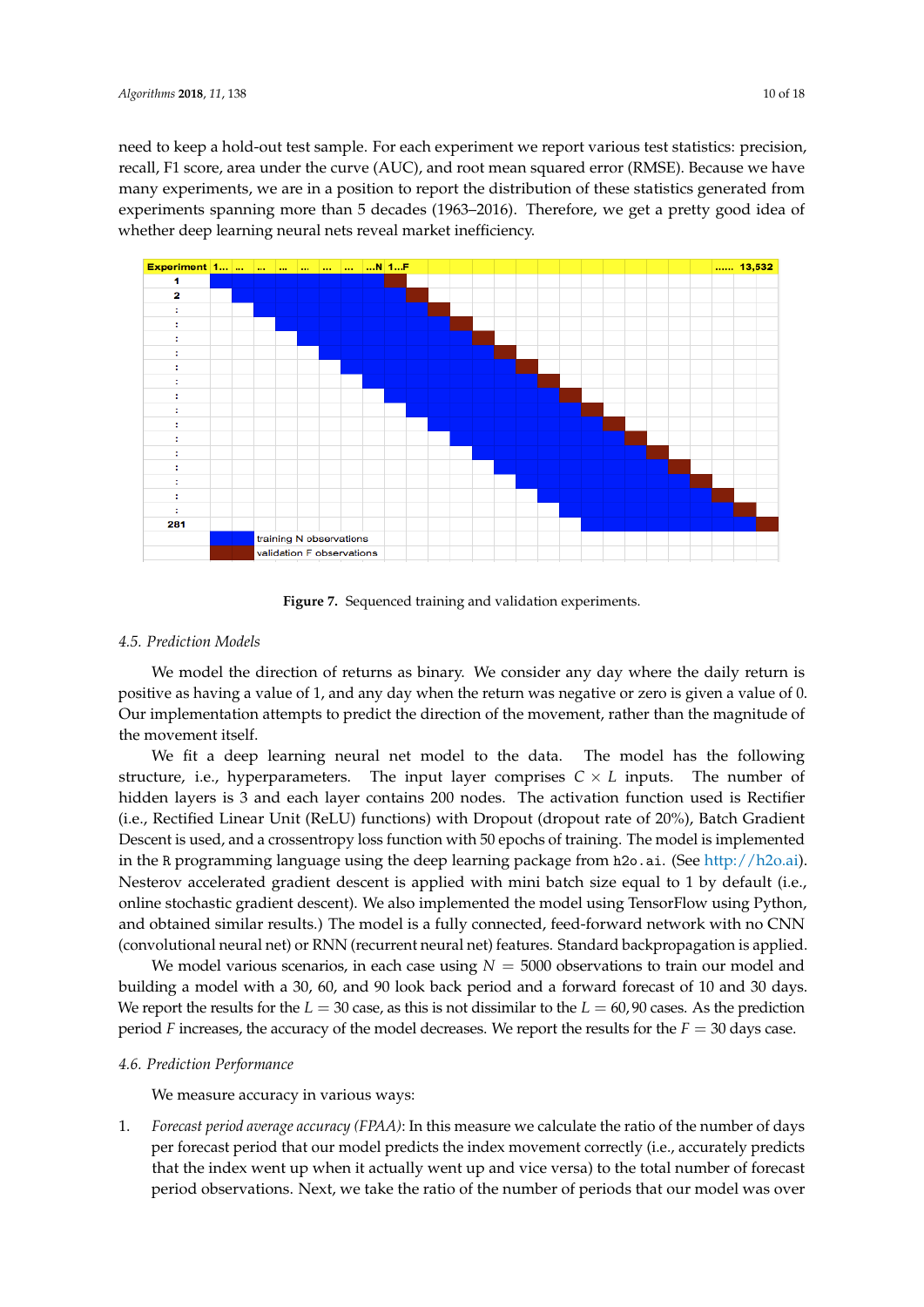need to keep a hold-out test sample. For each experiment we report various test statistics: precision, recall, F1 score, area under the curve (AUC), and root mean squared error (RMSE). Because we have many experiments, we are in a position to report the distribution of these statistics generated from experiments spanning more than 5 decades (1963–2016). Therefore, we get a pretty good idea of whether deep learning neural nets reveal market inefficiency.

<span id="page-9-0"></span>

**Figure 7.** Sequenced training and validation experiments.

# *4.5. Prediction Models*

We model the direction of returns as binary. We consider any day where the daily return is positive as having a value of 1, and any day when the return was negative or zero is given a value of 0. Our implementation attempts to predict the direction of the movement, rather than the magnitude of the movement itself.

We fit a deep learning neural net model to the data. The model has the following structure, i.e., hyperparameters. The input layer comprises  $C \times L$  inputs. The number of hidden layers is 3 and each layer contains 200 nodes. The activation function used is Rectifier (i.e., Rectified Linear Unit (ReLU) functions) with Dropout (dropout rate of 20%), Batch Gradient Descent is used, and a crossentropy loss function with 50 epochs of training. The model is implemented in the R programming language using the deep learning package from h2o.ai. (See [http://h2o.ai\)](http://h2o.ai). Nesterov accelerated gradient descent is applied with mini batch size equal to 1 by default (i.e., online stochastic gradient descent). We also implemented the model using TensorFlow using Python, and obtained similar results.) The model is a fully connected, feed-forward network with no CNN (convolutional neural net) or RNN (recurrent neural net) features. Standard backpropagation is applied.

We model various scenarios, in each case using  $N = 5000$  observations to train our model and building a model with a 30, 60, and 90 look back period and a forward forecast of 10 and 30 days. We report the results for the  $L = 30$  case, as this is not dissimilar to the  $L = 60, 90$  cases. As the prediction period *F* increases, the accuracy of the model decreases. We report the results for the  $F = 30$  days case.

#### *4.6. Prediction Performance*

We measure accuracy in various ways:

1. *Forecast period average accuracy (FPAA)*: In this measure we calculate the ratio of the number of days per forecast period that our model predicts the index movement correctly (i.e., accurately predicts that the index went up when it actually went up and vice versa) to the total number of forecast period observations. Next, we take the ratio of the number of periods that our model was over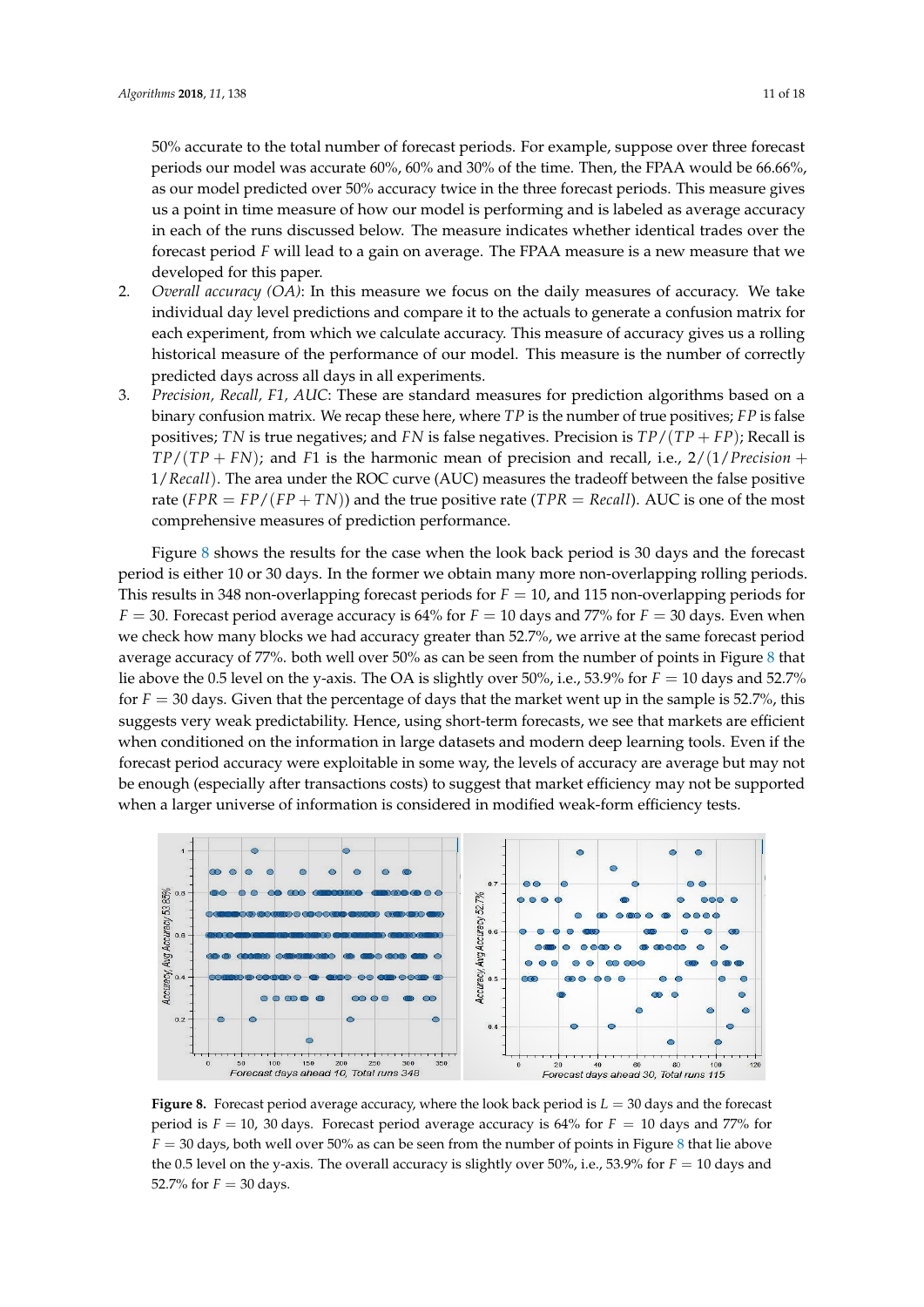50% accurate to the total number of forecast periods. For example, suppose over three forecast periods our model was accurate 60%, 60% and 30% of the time. Then, the FPAA would be 66.66%, as our model predicted over 50% accuracy twice in the three forecast periods. This measure gives us a point in time measure of how our model is performing and is labeled as average accuracy in each of the runs discussed below. The measure indicates whether identical trades over the forecast period *F* will lead to a gain on average. The FPAA measure is a new measure that we developed for this paper.

- 2. *Overall accuracy (OA)*: In this measure we focus on the daily measures of accuracy. We take individual day level predictions and compare it to the actuals to generate a confusion matrix for each experiment, from which we calculate accuracy. This measure of accuracy gives us a rolling historical measure of the performance of our model. This measure is the number of correctly predicted days across all days in all experiments.
- 3. *Precision, Recall, F1, AUC*: These are standard measures for prediction algorithms based on a binary confusion matrix. We recap these here, where *TP* is the number of true positives; *FP* is false positives; *TN* is true negatives; and *FN* is false negatives. Precision is *TP*/(*TP* + *FP*); Recall is *TP*/(*TP* + *FN*); and *F*1 is the harmonic mean of precision and recall, i.e., 2/(1/*Precision* + 1/*Recall*). The area under the ROC curve (AUC) measures the tradeoff between the false positive rate (*FPR* = *FP*/(*FP* + *TN*)) and the true positive rate (*TPR* = *Recall*). AUC is one of the most comprehensive measures of prediction performance.

Figure [8](#page-10-0) shows the results for the case when the look back period is 30 days and the forecast period is either 10 or 30 days. In the former we obtain many more non-overlapping rolling periods. This results in 348 non-overlapping forecast periods for *F* = 10, and 115 non-overlapping periods for  $F = 30$ . Forecast period average accuracy is 64% for  $F = 10$  days and 77% for  $F = 30$  days. Even when we check how many blocks we had accuracy greater than 52.7%, we arrive at the same forecast period average accuracy of 77%. both well over 50% as can be seen from the number of points in Figure [8](#page-10-0) that lie above the 0.5 level on the y-axis. The OA is slightly over 50%, i.e., 53.9% for  $F = 10$  days and 52.7% for  $F = 30$  days. Given that the percentage of days that the market went up in the sample is 52.7%, this suggests very weak predictability. Hence, using short-term forecasts, we see that markets are efficient when conditioned on the information in large datasets and modern deep learning tools. Even if the forecast period accuracy were exploitable in some way, the levels of accuracy are average but may not be enough (especially after transactions costs) to suggest that market efficiency may not be supported when a larger universe of information is considered in modified weak-form efficiency tests.

<span id="page-10-0"></span>

**Figure 8.** Forecast period average accuracy, where the look back period is *L* = 30 days and the forecast period is  $F = 10$ , 30 days. Forecast period average accuracy is 64% for  $F = 10$  days and 77% for  $F = 30$  days, both well over 50% as can be seen from the number of points in Figure [8](#page-10-0) that lie above the 0.5 level on the y-axis. The overall accuracy is slightly over  $50\%$ , i.e.,  $53.9\%$  for  $F = 10$  days and 52.7% for  $F = 30$  days.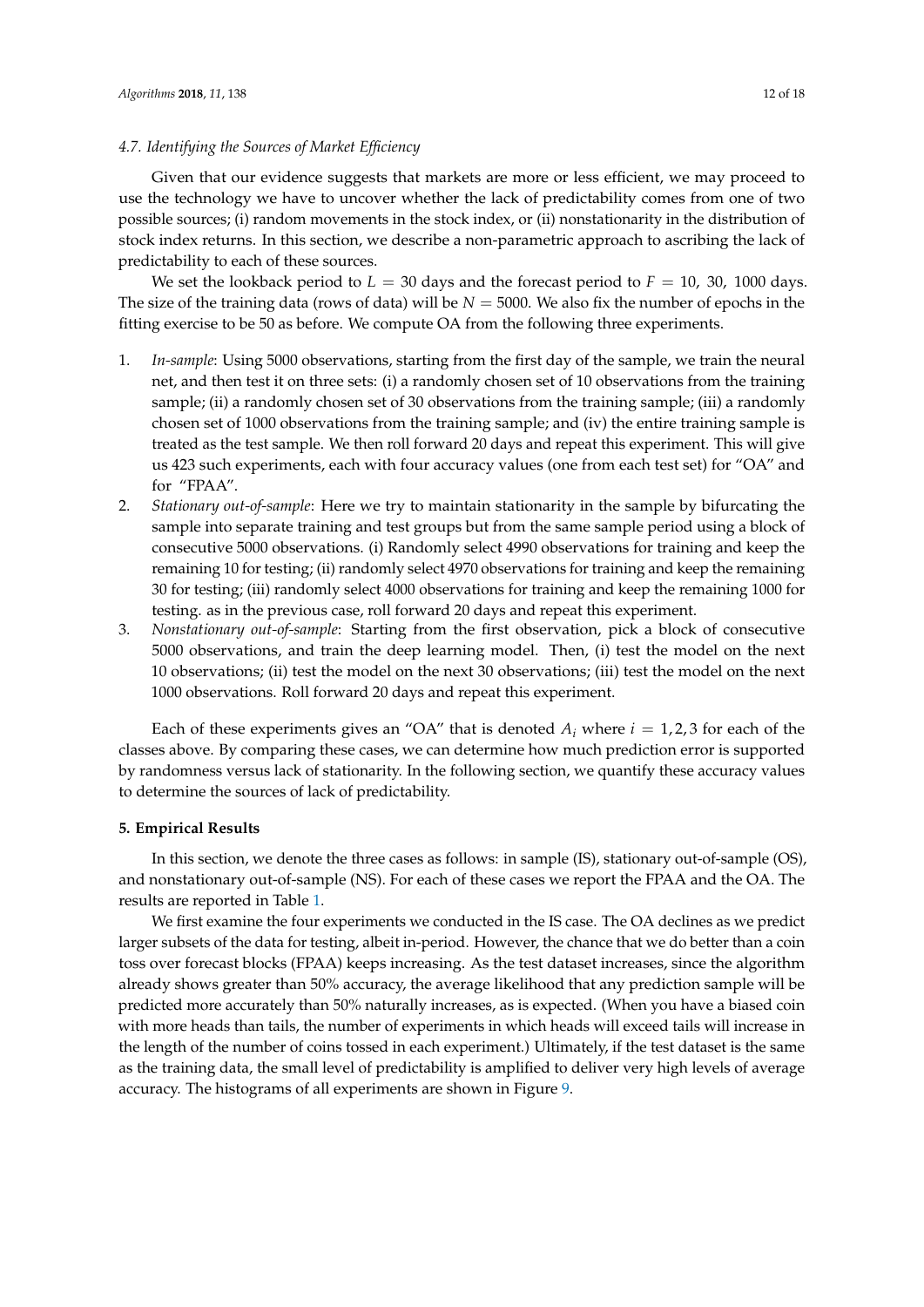# *4.7. Identifying the Sources of Market Efficiency*

Given that our evidence suggests that markets are more or less efficient, we may proceed to use the technology we have to uncover whether the lack of predictability comes from one of two possible sources; (i) random movements in the stock index, or (ii) nonstationarity in the distribution of stock index returns. In this section, we describe a non-parametric approach to ascribing the lack of predictability to each of these sources.

We set the lookback period to  $L = 30$  days and the forecast period to  $F = 10$ , 30, 1000 days. The size of the training data (rows of data) will be *N* = 5000. We also fix the number of epochs in the fitting exercise to be 50 as before. We compute OA from the following three experiments.

- 1. *In-sample*: Using 5000 observations, starting from the first day of the sample, we train the neural net, and then test it on three sets: (i) a randomly chosen set of 10 observations from the training sample; (ii) a randomly chosen set of 30 observations from the training sample; (iii) a randomly chosen set of 1000 observations from the training sample; and (iv) the entire training sample is treated as the test sample. We then roll forward 20 days and repeat this experiment. This will give us 423 such experiments, each with four accuracy values (one from each test set) for "OA" and for "FPAA".
- 2. *Stationary out-of-sample*: Here we try to maintain stationarity in the sample by bifurcating the sample into separate training and test groups but from the same sample period using a block of consecutive 5000 observations. (i) Randomly select 4990 observations for training and keep the remaining 10 for testing; (ii) randomly select 4970 observations for training and keep the remaining 30 for testing; (iii) randomly select 4000 observations for training and keep the remaining 1000 for testing. as in the previous case, roll forward 20 days and repeat this experiment.
- 3. *Nonstationary out-of-sample*: Starting from the first observation, pick a block of consecutive 5000 observations, and train the deep learning model. Then, (i) test the model on the next 10 observations; (ii) test the model on the next 30 observations; (iii) test the model on the next 1000 observations. Roll forward 20 days and repeat this experiment.

Each of these experiments gives an "OA" that is denoted  $A_i$  where  $i = 1, 2, 3$  for each of the classes above. By comparing these cases, we can determine how much prediction error is supported by randomness versus lack of stationarity. In the following section, we quantify these accuracy values to determine the sources of lack of predictability.

# <span id="page-11-0"></span>**5. Empirical Results**

In this section, we denote the three cases as follows: in sample (IS), stationary out-of-sample (OS), and nonstationary out-of-sample (NS). For each of these cases we report the FPAA and the OA. The results are reported in Table [1.](#page-12-0)

We first examine the four experiments we conducted in the IS case. The OA declines as we predict larger subsets of the data for testing, albeit in-period. However, the chance that we do better than a coin toss over forecast blocks (FPAA) keeps increasing. As the test dataset increases, since the algorithm already shows greater than 50% accuracy, the average likelihood that any prediction sample will be predicted more accurately than 50% naturally increases, as is expected. (When you have a biased coin with more heads than tails, the number of experiments in which heads will exceed tails will increase in the length of the number of coins tossed in each experiment.) Ultimately, if the test dataset is the same as the training data, the small level of predictability is amplified to deliver very high levels of average accuracy. The histograms of all experiments are shown in Figure [9.](#page-12-1)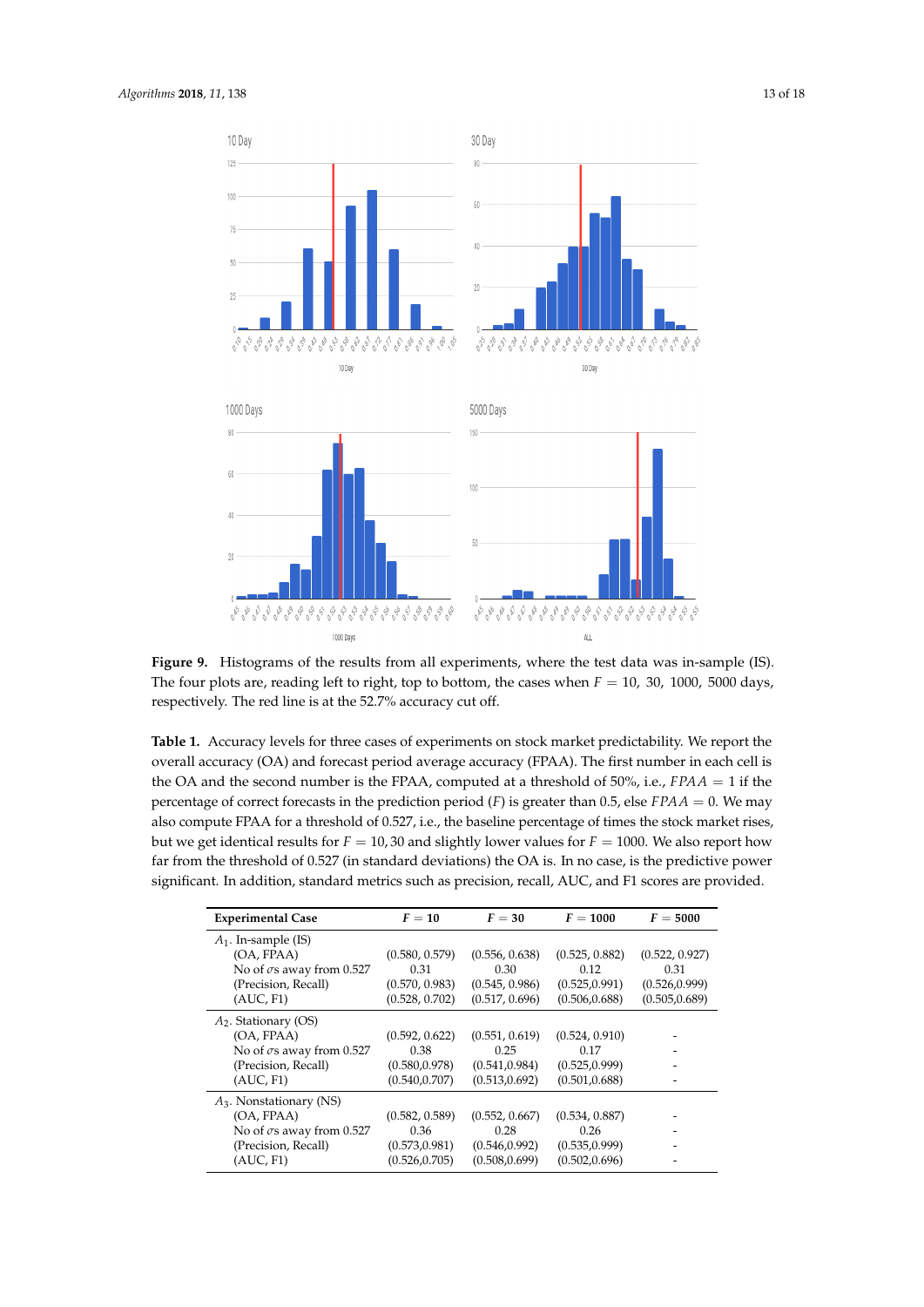<span id="page-12-1"></span>

**Figure 9.** Histograms of the results from all experiments, where the test data was in-sample (IS). The four plots are, reading left to right, top to bottom, the cases when  $F = 10$ , 30, 1000, 5000 days, respectively. The red line is at the 52.7% accuracy cut off.

<span id="page-12-0"></span>**Table 1.** Accuracy levels for three cases of experiments on stock market predictability. We report the overall accuracy (OA) and forecast period average accuracy (FPAA). The first number in each cell is the OA and the second number is the FPAA, computed at a threshold of 50%, i.e., *FPAA* = 1 if the percentage of correct forecasts in the prediction period (*F*) is greater than 0.5, else *FPAA* = 0. We may also compute FPAA for a threshold of 0.527, i.e., the baseline percentage of times the stock market rises, but we get identical results for  $F = 10, 30$  and slightly lower values for  $F = 1000$ . We also report how far from the threshold of 0.527 (in standard deviations) the OA is. In no case, is the predictive power significant. In addition, standard metrics such as precision, recall, AUC, and F1 scores are provided.

| <b>Experimental Case</b>         | $F=10$         | $F=30$         | $F = 1000$     | $F = 5000$     |
|----------------------------------|----------------|----------------|----------------|----------------|
| $A_1$ . In-sample (IS)           |                |                |                |                |
| (OA, FPAA)                       | (0.580, 0.579) | (0.556, 0.638) | (0.525, 0.882) | (0.522, 0.927) |
| No of $\sigma s$ away from 0.527 | 0.31           | 0.30           | 0.12           | 0.31           |
| (Precision, Recall)              | (0.570, 0.983) | (0.545, 0.986) | (0.525, 0.991) | (0.526, 0.999) |
| (AUC, F1)                        | (0.528, 0.702) | (0.517, 0.696) | (0.506, 0.688) | (0.505, 0.689) |
| $A_2$ . Stationary (OS)          |                |                |                |                |
| (OA, FPAA)                       | (0.592, 0.622) | (0.551, 0.619) | (0.524, 0.910) |                |
| No of $\sigma s$ away from 0.527 | 0.38           | 0.25           | 0.17           |                |
| (Precision, Recall)              | (0.580, 0.978) | (0.541, 0.984) | (0.525, 0.999) |                |
| (AUC, F1)                        | (0.540, 0.707) | (0.513, 0.692) | (0.501, 0.688) |                |
| $A_3$ . Nonstationary (NS)       |                |                |                |                |
| (OA, FPAA)                       | (0.582, 0.589) | (0.552, 0.667) | (0.534, 0.887) |                |
| No of $\sigma s$ away from 0.527 | 0.36           | 0.28           | 0.26           |                |
| (Precision, Recall)              | (0.573, 0.981) | (0.546, 0.992) | (0.535, 0.999) |                |
| (AUC, F1)                        | (0.526, 0.705) | (0.508, 0.699) | (0.502, 0.696) |                |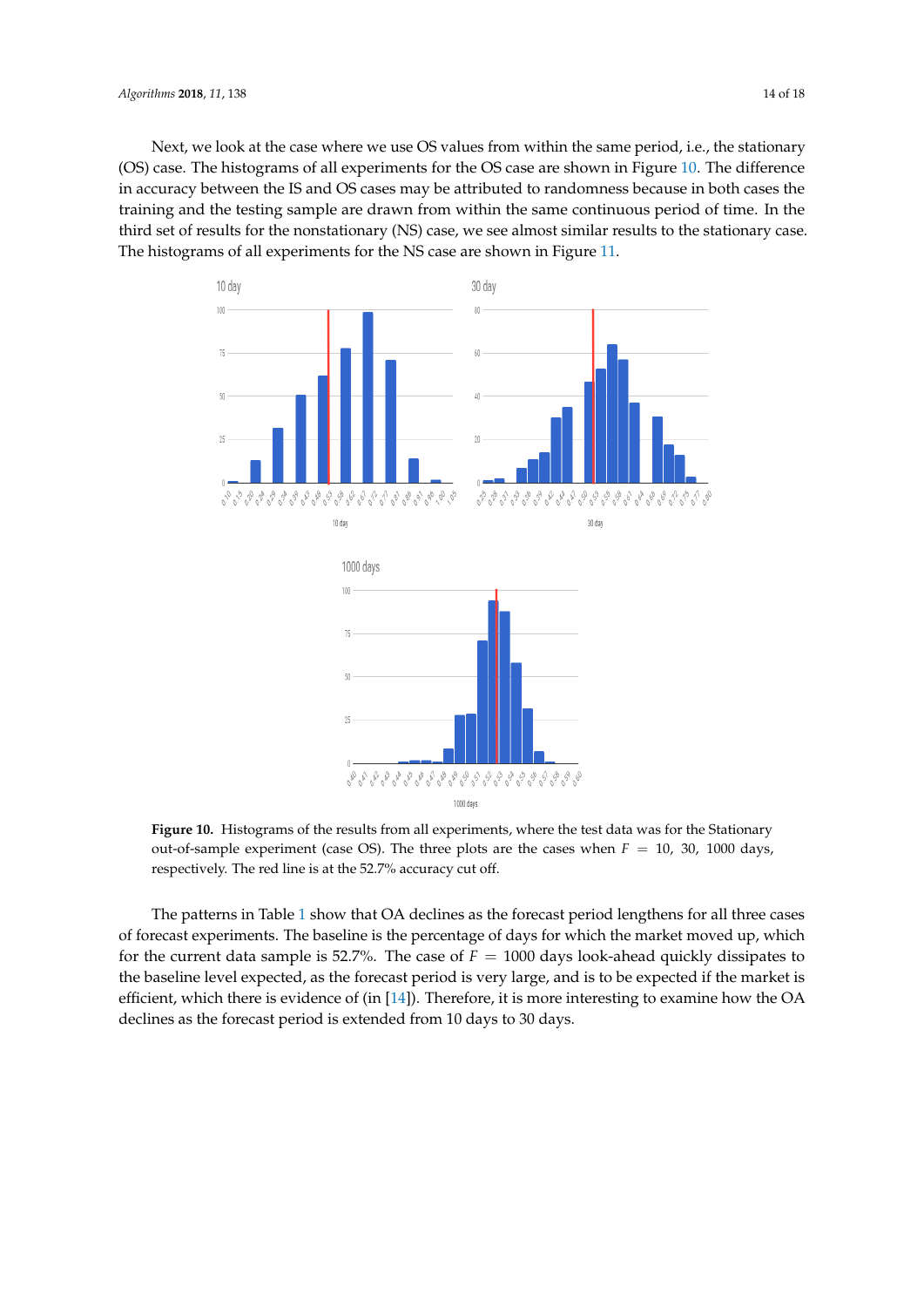Next, we look at the case where we use OS values from within the same period, i.e., the stationary (OS) case. The histograms of all experiments for the OS case are shown in Figure [10.](#page-13-0) The difference in accuracy between the IS and OS cases may be attributed to randomness because in both cases the training and the testing sample are drawn from within the same continuous period of time. In the third set of results for the nonstationary (NS) case, we see almost similar results to the stationary case. The histograms of all experiments for the NS case are shown in Figure [11.](#page-14-0)

<span id="page-13-0"></span>

**Figure 10.** Histograms of the results from all experiments, where the test data was for the Stationary out-of-sample experiment (case OS). The three plots are the cases when  $F = 10$ , 30, 1000 days, respectively. The red line is at the 52.7% accuracy cut off.

The patterns in Table [1](#page-12-0) show that OA declines as the forecast period lengthens for all three cases of forecast experiments. The baseline is the percentage of days for which the market moved up, which for the current data sample is 52.7%. The case of  $F = 1000$  days look-ahead quickly dissipates to the baseline level expected, as the forecast period is very large, and is to be expected if the market is efficient, which there is evidence of (in  $[14]$ ). Therefore, it is more interesting to examine how the OA declines as the forecast period is extended from 10 days to 30 days.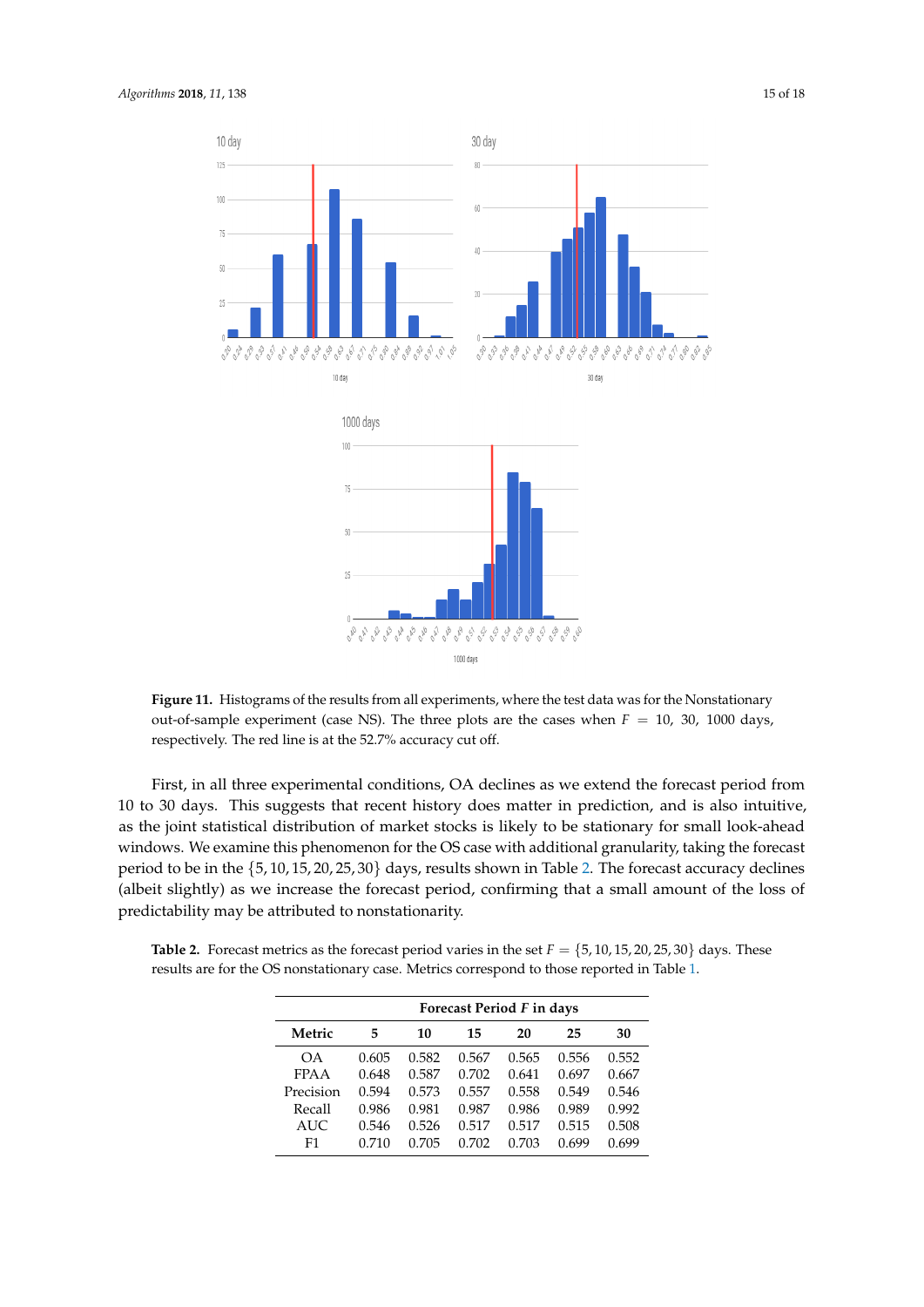<span id="page-14-0"></span>

**Figure 11.** Histograms of the results from all experiments, where the test data was for the Nonstationary out-of-sample experiment (case NS). The three plots are the cases when  $F = 10$ , 30, 1000 days, respectively. The red line is at the 52.7% accuracy cut off.

First, in all three experimental conditions, OA declines as we extend the forecast period from 10 to 30 days. This suggests that recent history does matter in prediction, and is also intuitive, as the joint statistical distribution of market stocks is likely to be stationary for small look-ahead windows. We examine this phenomenon for the OS case with additional granularity, taking the forecast period to be in the {5, 10, 15, 20, 25, 30} days, results shown in Table [2.](#page-14-1) The forecast accuracy declines (albeit slightly) as we increase the forecast period, confirming that a small amount of the loss of predictability may be attributed to nonstationarity.

<span id="page-14-1"></span>**Table 2.** Forecast metrics as the forecast period varies in the set  $F = \{5, 10, 15, 20, 25, 30\}$  days. These results are for the OS nonstationary case. Metrics correspond to those reported in Table [1.](#page-12-0)

|           | Forecast Period F in days |       |       |       |       |       |  |  |
|-----------|---------------------------|-------|-------|-------|-------|-------|--|--|
| Metric    | 5                         | 10    | 15    | 20    | 25    | 30    |  |  |
| OΑ        | 0.605                     | 0.582 | 0.567 | 0.565 | 0.556 | 0.552 |  |  |
| FPA A     | 0.648                     | 0.587 | 0.702 | 0.641 | 0.697 | 0.667 |  |  |
| Precision | 0.594                     | 0.573 | 0.557 | 0.558 | 0.549 | 0.546 |  |  |
| Recall    | 0.986                     | 0.981 | 0.987 | 0.986 | 0.989 | 0.992 |  |  |
| AUC.      | 0.546                     | 0.526 | 0.517 | 0.517 | 0.515 | 0.508 |  |  |
| F1        | 0.710                     | 0.705 | 0.702 | 0.703 | 0.699 | 0.699 |  |  |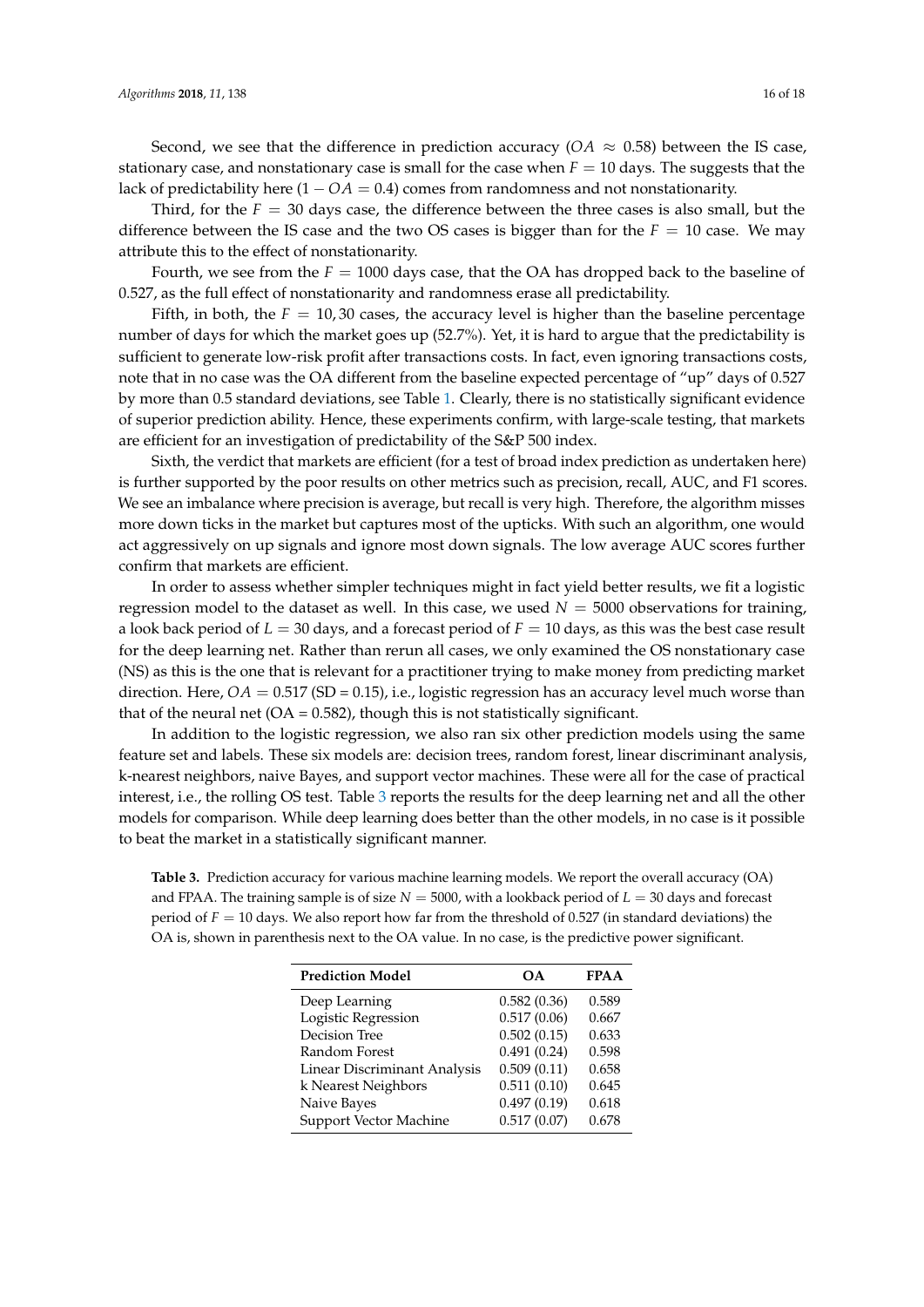Second, we see that the difference in prediction accuracy ( $OA \approx 0.58$ ) between the IS case, stationary case, and nonstationary case is small for the case when  $F = 10$  days. The suggests that the lack of predictability here  $(1 - OA = 0.4)$  comes from randomness and not nonstationarity.

Third, for the  $F = 30$  days case, the difference between the three cases is also small, but the difference between the IS case and the two OS cases is bigger than for the  $F = 10$  case. We may attribute this to the effect of nonstationarity.

Fourth, we see from the  $F = 1000$  days case, that the OA has dropped back to the baseline of 0.527, as the full effect of nonstationarity and randomness erase all predictability.

Fifth, in both, the  $F = 10,30$  cases, the accuracy level is higher than the baseline percentage number of days for which the market goes up (52.7%). Yet, it is hard to argue that the predictability is sufficient to generate low-risk profit after transactions costs. In fact, even ignoring transactions costs, note that in no case was the OA different from the baseline expected percentage of "up" days of 0.527 by more than 0.5 standard deviations, see Table [1.](#page-12-0) Clearly, there is no statistically significant evidence of superior prediction ability. Hence, these experiments confirm, with large-scale testing, that markets are efficient for an investigation of predictability of the S&P 500 index.

Sixth, the verdict that markets are efficient (for a test of broad index prediction as undertaken here) is further supported by the poor results on other metrics such as precision, recall, AUC, and F1 scores. We see an imbalance where precision is average, but recall is very high. Therefore, the algorithm misses more down ticks in the market but captures most of the upticks. With such an algorithm, one would act aggressively on up signals and ignore most down signals. The low average AUC scores further confirm that markets are efficient.

In order to assess whether simpler techniques might in fact yield better results, we fit a logistic regression model to the dataset as well. In this case, we used  $N = 5000$  observations for training, a look back period of *L* = 30 days, and a forecast period of *F* = 10 days, as this was the best case result for the deep learning net. Rather than rerun all cases, we only examined the OS nonstationary case (NS) as this is the one that is relevant for a practitioner trying to make money from predicting market direction. Here,  $OA = 0.517$  (SD = 0.15), i.e., logistic regression has an accuracy level much worse than that of the neural net  $(OA = 0.582)$ , though this is not statistically significant.

In addition to the logistic regression, we also ran six other prediction models using the same feature set and labels. These six models are: decision trees, random forest, linear discriminant analysis, k-nearest neighbors, naive Bayes, and support vector machines. These were all for the case of practical interest, i.e., the rolling OS test. Table [3](#page-15-0) reports the results for the deep learning net and all the other models for comparison. While deep learning does better than the other models, in no case is it possible to beat the market in a statistically significant manner.

<span id="page-15-0"></span>**Table 3.** Prediction accuracy for various machine learning models. We report the overall accuracy (OA) and FPAA. The training sample is of size  $N = 5000$ , with a lookback period of  $L = 30$  days and forecast period of  $F = 10$  days. We also report how far from the threshold of 0.527 (in standard deviations) the OA is, shown in parenthesis next to the OA value. In no case, is the predictive power significant.

| <b>Prediction Model</b>       | ΩA          | <b>FPAA</b> |
|-------------------------------|-------------|-------------|
| Deep Learning                 | 0.582(0.36) | 0.589       |
| Logistic Regression           | 0.517(0.06) | 0.667       |
| Decision Tree                 | 0.502(0.15) | 0.633       |
| Random Forest                 | 0.491(0.24) | 0.598       |
| Linear Discriminant Analysis  | 0.509(0.11) | 0.658       |
| k Nearest Neighbors           | 0.511(0.10) | 0.645       |
| Naive Bayes                   | 0.497(0.19) | 0.618       |
| <b>Support Vector Machine</b> | 0.517(0.07) | 0.678       |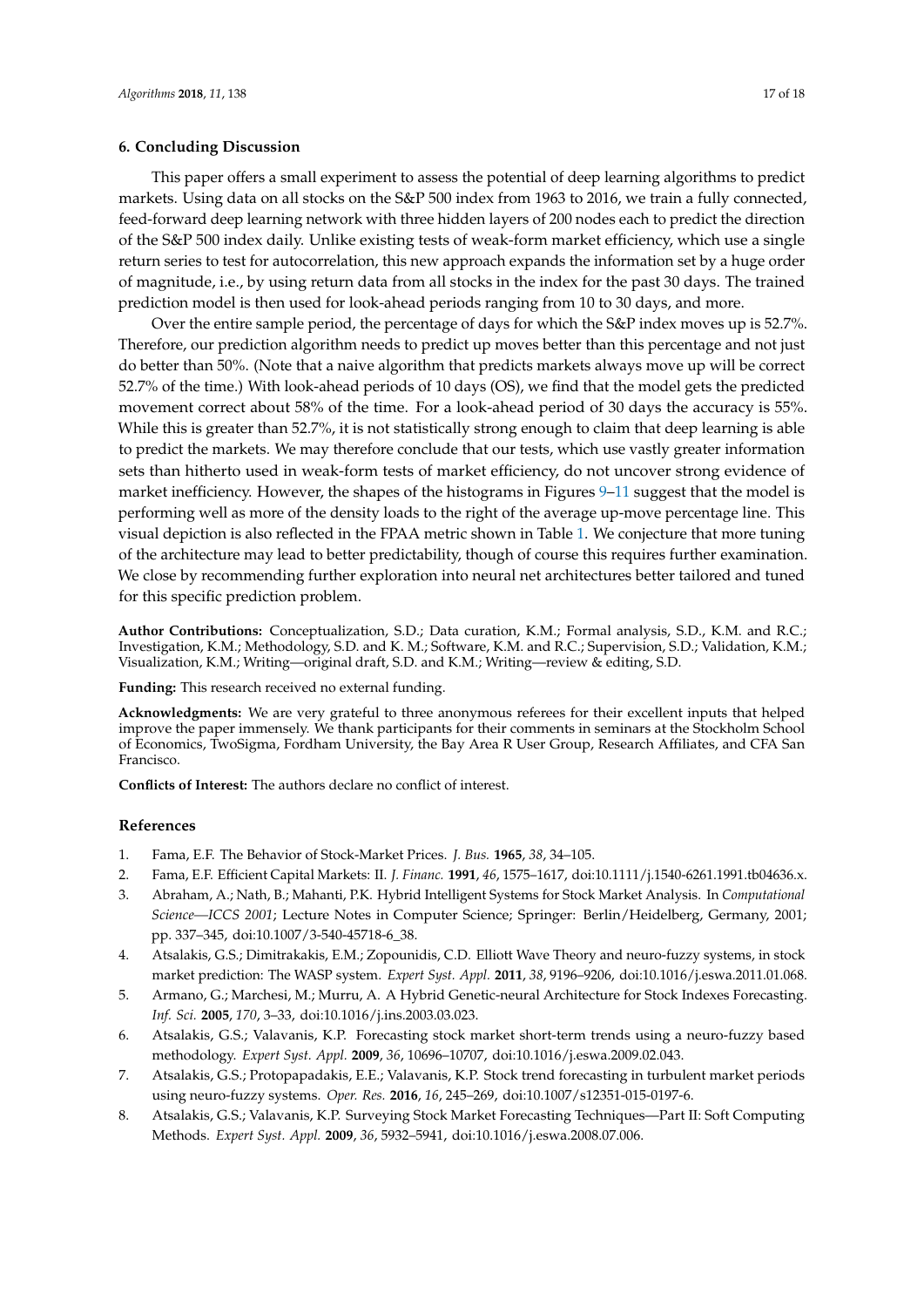# <span id="page-16-4"></span>**6. Concluding Discussion**

This paper offers a small experiment to assess the potential of deep learning algorithms to predict markets. Using data on all stocks on the S&P 500 index from 1963 to 2016, we train a fully connected, feed-forward deep learning network with three hidden layers of 200 nodes each to predict the direction of the S&P 500 index daily. Unlike existing tests of weak-form market efficiency, which use a single return series to test for autocorrelation, this new approach expands the information set by a huge order of magnitude, i.e., by using return data from all stocks in the index for the past 30 days. The trained prediction model is then used for look-ahead periods ranging from 10 to 30 days, and more.

Over the entire sample period, the percentage of days for which the S&P index moves up is 52.7%. Therefore, our prediction algorithm needs to predict up moves better than this percentage and not just do better than 50%. (Note that a naive algorithm that predicts markets always move up will be correct 52.7% of the time.) With look-ahead periods of 10 days (OS), we find that the model gets the predicted movement correct about 58% of the time. For a look-ahead period of 30 days the accuracy is 55%. While this is greater than 52.7%, it is not statistically strong enough to claim that deep learning is able to predict the markets. We may therefore conclude that our tests, which use vastly greater information sets than hitherto used in weak-form tests of market efficiency, do not uncover strong evidence of market inefficiency. However, the shapes of the histograms in Figures [9](#page-12-1)[–11](#page-14-0) suggest that the model is performing well as more of the density loads to the right of the average up-move percentage line. This visual depiction is also reflected in the FPAA metric shown in Table [1.](#page-12-0) We conjecture that more tuning of the architecture may lead to better predictability, though of course this requires further examination. We close by recommending further exploration into neural net architectures better tailored and tuned for this specific prediction problem.

**Author Contributions:** Conceptualization, S.D.; Data curation, K.M.; Formal analysis, S.D., K.M. and R.C.; Investigation, K.M.; Methodology, S.D. and K. M.; Software, K.M. and R.C.; Supervision, S.D.; Validation, K.M.; Visualization, K.M.; Writing—original draft, S.D. and K.M.; Writing—review & editing, S.D.

**Funding:** This research received no external funding.

**Acknowledgments:** We are very grateful to three anonymous referees for their excellent inputs that helped improve the paper immensely. We thank participants for their comments in seminars at the Stockholm School of Economics, TwoSigma, Fordham University, the Bay Area R User Group, Research Affiliates, and CFA San Francisco.

**Conflicts of Interest:** The authors declare no conflict of interest.

# **References**

- <span id="page-16-0"></span>1. Fama, E.F. The Behavior of Stock-Market Prices. *J. Bus.* **1965**, *38*, 34–105.
- <span id="page-16-1"></span>2. Fama, E.F. Efficient Capital Markets: II. *J. Financ.* **1991**, *46*, 1575–1617, doi[:10.1111/j.1540-6261.1991.tb04636.x.](https://doi.org/10.1111/j.1540-6261.1991.tb04636.x)
- <span id="page-16-2"></span>3. Abraham, A.; Nath, B.; Mahanti, P.K. Hybrid Intelligent Systems for Stock Market Analysis. In *Computational Science—ICCS 2001*; Lecture Notes in Computer Science; Springer: Berlin/Heidelberg, Germany, 2001; pp. 337–345, doi[:10.1007/3-540-45718-6\\_38.](https://doi.org/10.1007/3-540-45718-6_38)
- 4. Atsalakis, G.S.; Dimitrakakis, E.M.; Zopounidis, C.D. Elliott Wave Theory and neuro-fuzzy systems, in stock market prediction: The WASP system. *Expert Syst. Appl.* **2011**, *38*, 9196–9206, doi[:10.1016/j.eswa.2011.01.068.](https://doi.org/10.1016/j.eswa.2011.01.068)
- 5. Armano, G.; Marchesi, M.; Murru, A. A Hybrid Genetic-neural Architecture for Stock Indexes Forecasting. *Inf. Sci.* **2005**, *170*, 3–33, doi[:10.1016/j.ins.2003.03.023.](https://doi.org/10.1016/j.ins.2003.03.023)
- 6. Atsalakis, G.S.; Valavanis, K.P. Forecasting stock market short-term trends using a neuro-fuzzy based methodology. *Expert Syst. Appl.* **2009**, *36*, 10696–10707, doi[:10.1016/j.eswa.2009.02.043.](https://doi.org/10.1016/j.eswa.2009.02.043)
- <span id="page-16-3"></span>7. Atsalakis, G.S.; Protopapadakis, E.E.; Valavanis, K.P. Stock trend forecasting in turbulent market periods using neuro-fuzzy systems. *Oper. Res.* **2016**, *16*, 245–269, doi[:10.1007/s12351-015-0197-6.](https://doi.org/10.1007/s12351-015-0197-6)
- 8. Atsalakis, G.S.; Valavanis, K.P. Surveying Stock Market Forecasting Techniques—Part II: Soft Computing Methods. *Expert Syst. Appl.* **2009**, *36*, 5932–5941, doi[:10.1016/j.eswa.2008.07.006.](https://doi.org/10.1016/j.eswa.2008.07.006)